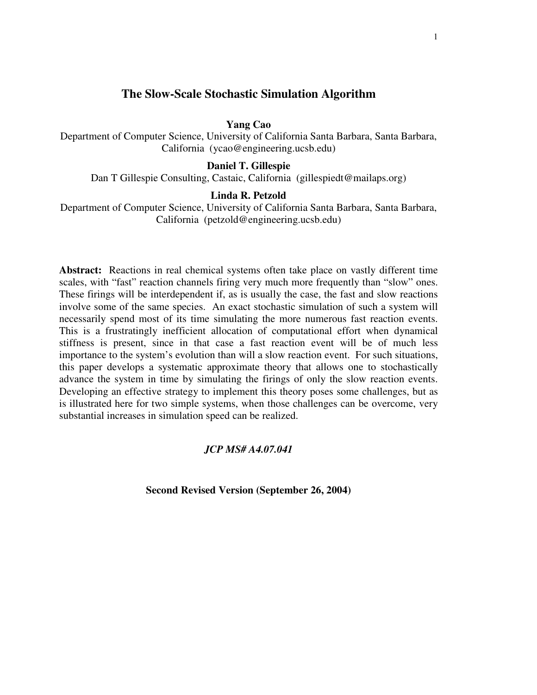# **The Slow-Scale Stochastic Simulation Algorithm**

### **Yang Cao**

Department of Computer Science, University of California Santa Barbara, Santa Barbara, California (ycao@engineering.ucsb.edu)

## **Daniel T. Gillespie**

Dan T Gillespie Consulting, Castaic, California (gillespiedt@mailaps.org)

### **Linda R. Petzold**

Department of Computer Science, University of California Santa Barbara, Santa Barbara, California (petzold@engineering.ucsb.edu)

**Abstract:** Reactions in real chemical systems often take place on vastly different time scales, with "fast" reaction channels firing very much more frequently than "slow" ones. These firings will be interdependent if, as is usually the case, the fast and slow reactions involve some of the same species. An exact stochastic simulation of such a system will necessarily spend most of its time simulating the more numerous fast reaction events. This is a frustratingly inefficient allocation of computational effort when dynamical stiffness is present, since in that case a fast reaction event will be of much less importance to the system's evolution than will a slow reaction event. For such situations, this paper develops a systematic approximate theory that allows one to stochastically advance the system in time by simulating the firings of only the slow reaction events. Developing an effective strategy to implement this theory poses some challenges, but as is illustrated here for two simple systems, when those challenges can be overcome, very substantial increases in simulation speed can be realized.

### *JCP MS# A4.07.041*

**Second Revised Version (September 26, 2004)**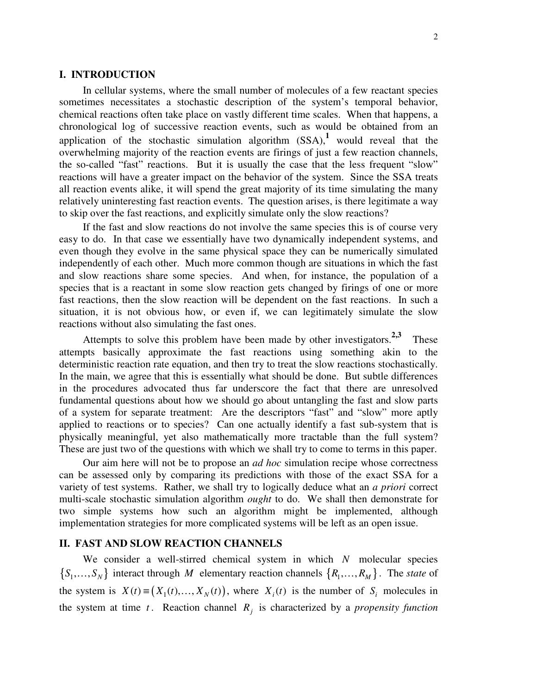### **I. INTRODUCTION**

In cellular systems, where the small number of molecules of a few reactant species sometimes necessitates a stochastic description of the system's temporal behavior, chemical reactions often take place on vastly different time scales. When that happens, a chronological log of successive reaction events, such as would be obtained from an application of the stochastic simulation algorithm  $(SSA)$ , would reveal that the overwhelming majority of the reaction events are firings of just a few reaction channels, the so-called "fast" reactions. But it is usually the case that the less frequent "slow" reactions will have a greater impact on the behavior of the system. Since the SSA treats all reaction events alike, it will spend the great majority of its time simulating the many relatively uninteresting fast reaction events. The question arises, is there legitimate a way to skip over the fast reactions, and explicitly simulate only the slow reactions?

If the fast and slow reactions do not involve the same species this is of course very easy to do. In that case we essentially have two dynamically independent systems, and even though they evolve in the same physical space they can be numerically simulated independently of each other. Much more common though are situations in which the fast and slow reactions share some species. And when, for instance, the population of a species that is a reactant in some slow reaction gets changed by firings of one or more fast reactions, then the slow reaction will be dependent on the fast reactions. In such a situation, it is not obvious how, or even if, we can legitimately simulate the slow reactions without also simulating the fast ones.

Attempts to solve this problem have been made by other investigators.<sup>2,3</sup> These attempts basically approximate the fast reactions using something akin to the deterministic reaction rate equation, and then try to treat the slow reactions stochastically. In the main, we agree that this is essentially what should be done. But subtle differences in the procedures advocated thus far underscore the fact that there are unresolved fundamental questions about how we should go about untangling the fast and slow parts of a system for separate treatment: Are the descriptors "fast" and "slow" more aptly applied to reactions or to species? Can one actually identify a fast sub-system that is physically meaningful, yet also mathematically more tractable than the full system? These are just two of the questions with which we shall try to come to terms in this paper.

Our aim here will not be to propose an *ad hoc* simulation recipe whose correctness can be assessed only by comparing its predictions with those of the exact SSA for a variety of test systems. Rather, we shall try to logically deduce what an *a priori* correct multi-scale stochastic simulation algorithm *ought* to do. We shall then demonstrate for two simple systems how such an algorithm might be implemented, although implementation strategies for more complicated systems will be left as an open issue.

## **II. FAST AND SLOW REACTION CHANNELS**

We consider a well-stirred chemical system in which *N* molecular species  $\{S_1, \ldots, S_N\}$  interact through *M* elementary reaction channels  $\{R_1, \ldots, R_M\}$ . The *state* of the system is  $X(t) \equiv (X_1(t),..., X_N(t))$ , where  $X_i(t)$  is the number of  $S_i$  molecules in the system at time  $t$ . Reaction channel  $R_j$  is characterized by a *propensity function*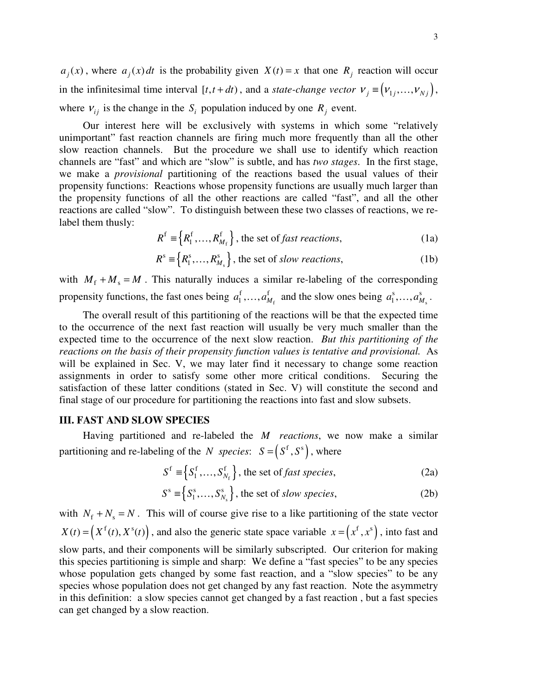$a_j(x)$ , where  $a_j(x)dt$  is the probability given  $X(t) = x$  that one  $R_j$  reaction will occur in the infinitesimal time interval  $[t, t + dt)$ , and a *state-change vector*  $v_j = (v_{1j},...,v_{Nj})$ , where  $V_{ij}$  is the change in the  $S_i$  population induced by one  $R_j$  event.

Our interest here will be exclusively with systems in which some "relatively unimportant" fast reaction channels are firing much more frequently than all the other slow reaction channels. But the procedure we shall use to identify which reaction channels are "fast" and which are "slow" is subtle, and has *two stages*. In the first stage, we make a *provisional* partitioning of the reactions based the usual values of their propensity functions: Reactions whose propensity functions are usually much larger than the propensity functions of all the other reactions are called "fast", and all the other reactions are called "slow". To distinguish between these two classes of reactions, we relabel them thusly:

$$
R^{\text{f}} \equiv \left\{ R^{\text{f}}_1, \dots, R^{\text{f}}_{M_{\text{f}}} \right\}, \text{ the set of } \text{fast reactions}, \tag{1a}
$$

$$
Rs \equiv \{R_1s, \dots, R_{M_s}^s\}, \text{ the set of slow reactions},
$$
 (1b)

with  $M_f + M_s = M$ . This naturally induces a similar re-labeling of the corresponding propensity functions, the fast ones being  $a_1^1, \ldots, a_{M_f}^1$ f  $f$  $a_1^f, \ldots, a_{M_f}^f$  and the slow ones being  $a_1^s, \ldots, a_{M_s}^s$ s  $a^s$  $a_1^{\rm s},\ldots,a_{M_{\rm s}}^{\rm s}$ .

The overall result of this partitioning of the reactions will be that the expected time to the occurrence of the next fast reaction will usually be very much smaller than the expected time to the occurrence of the next slow reaction. *But this partitioning of the reactions on the basis of their propensity function values is tentative and provisional.* As will be explained in Sec. V, we may later find it necessary to change some reaction assignments in order to satisfy some other more critical conditions. Securing the satisfaction of these latter conditions (stated in Sec. V) will constitute the second and final stage of our procedure for partitioning the reactions into fast and slow subsets.

## **III. FAST AND SLOW SPECIES**

Having partitioned and re-labeled the *M reactions*, we now make a similar partitioning and re-labeling of the *N species*:  $S = (S^f, S^s)$ , where

$$
Sf \equiv \left\{ S_1^f, \dots, S_{N_f}^f \right\}, \text{ the set of } fast \text{ species}, \tag{2a}
$$

$$
S^s \equiv \left\{ S_1^s, \dots, S_{N_s}^s \right\}, \text{ the set of slow species, } \tag{2b}
$$

with  $N_f + N_s = N$ . This will of course give rise to a like partitioning of the state vector  $X(t) = (X^f(t), X^s(t))$ , and also the generic state space variable  $x = (x^f, x^s)$ , into fast and slow parts, and their components will be similarly subscripted. Our criterion for making this species partitioning is simple and sharp: We define a "fast species" to be any species whose population gets changed by some fast reaction, and a "slow species" to be any species whose population does not get changed by any fast reaction. Note the asymmetry in this definition: a slow species cannot get changed by a fast reaction , but a fast species can get changed by a slow reaction.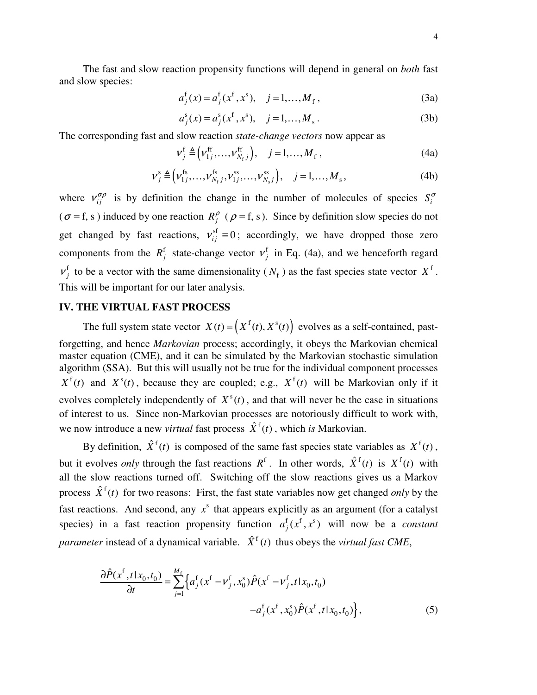The fast and slow reaction propensity functions will depend in general on *both* fast and slow species:

$$
a_j^{\{f\}}(x) = a_j^{\{f\}}(x^{\{f\}}, x^{\{g\}}), \quad j = 1, \dots, M_f,
$$
\n(3a)

$$
a_j^s(x) = a_j^s(x^f, x^s), \quad j = 1, ..., M_s.
$$
 (3b)

The corresponding fast and slow reaction *state-change vectors* now appear as

$$
\nu_j^{\text{f}} \triangleq (\nu_{1j}^{\text{ff}}, \dots, \nu_{N_{\text{f}}j}^{\text{ff}}), \quad j = 1, \dots, M_{\text{f}}, \tag{4a}
$$

$$
\nu_j^s \triangleq (\nu_{1j}^{fs}, \dots, \nu_{N_f}^{fs}, \nu_{1j}^{ss}, \dots, \nu_{N_sj}^{ss}), \quad j = 1, \dots, M_s, \tag{4b}
$$

where  $v_{ij}^{\sigma\rho}$  is by definition the change in the number of molecules of species  $S_i^{\sigma}$  $(\sigma = f, s)$  induced by one reaction  $R_f^{\rho}$  ( $\rho = f, s$ ). Since by definition slow species do not get changed by fast reactions,  $v_{ij}^{\text{sf}} \equiv 0$ ; accordingly, we have dropped those zero components from the  $R_j^f$  state-change vector  $v_j^f$  in Eq. (4a), and we henceforth regard  $v_j^f$  to be a vector with the same dimensionality ( $N_f$ ) as the fast species state vector  $X^f$ . This will be important for our later analysis.

### **IV. THE VIRTUAL FAST PROCESS**

The full system state vector  $X(t) = \left( X^f(t), X^s(t) \right)$  evolves as a self-contained, pastforgetting, and hence *Markovian* process; accordingly, it obeys the Markovian chemical master equation (CME), and it can be simulated by the Markovian stochastic simulation algorithm (SSA). But this will usually not be true for the individual component processes  $X^f(t)$  and  $X^s(t)$ , because they are coupled; e.g.,  $X^f(t)$  will be Markovian only if it evolves completely independently of  $X^s(t)$ , and that will never be the case in situations of interest to us. Since non-Markovian processes are notoriously difficult to work with, we now introduce a new *virtual* fast process  $\hat{X}^f(t)$ , which *is* Markovian.

By definition,  $\hat{X}^{\text{f}}(t)$  is composed of the same fast species state variables as  $X^{\text{f}}(t)$ , but it evolves *only* through the fast reactions  $R^f$ . In other words,  $\hat{X}^f(t)$  is  $X^f(t)$  with all the slow reactions turned off. Switching off the slow reactions gives us a Markov process  $\hat{X}^{\text{f}}(t)$  for two reasons: First, the fast state variables now get changed *only* by the fast reactions. And second, any  $x^s$  that appears explicitly as an argument (for a catalyst species) in a fast reaction propensity function  $a_j^f(x^f, x^s)$  will now be a *constant parameter* instead of a dynamical variable.  $\hat{X}^f(t)$  thus obeys the *virtual fast CME*,

$$
\frac{\partial \hat{P}(x^{\text{f}},t | x_0, t_0)}{\partial t} = \sum_{j=1}^{M_{\text{f}}} \left\{ a_j^{\text{f}} (x^{\text{f}} - v_j^{\text{f}}, x_0^{\text{s}}) \hat{P}(x^{\text{f}} - v_j^{\text{f}}, t | x_0, t_0) - a_j^{\text{f}} (x^{\text{f}}, x_0^{\text{s}}) \hat{P}(x^{\text{f}}, t | x_0, t_0) \right\},\tag{5}
$$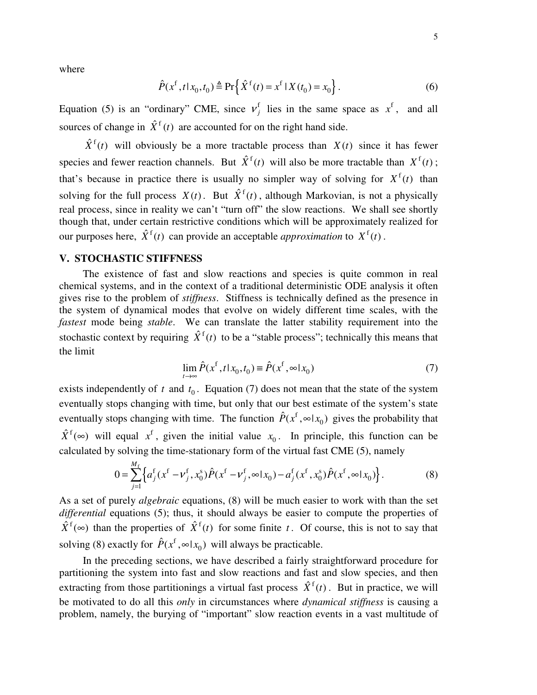where

$$
\hat{P}(x^{\text{f}}, t | x_0, t_0) \triangleq \Pr\left\{\hat{X}^{\text{f}}(t) = x^{\text{f}} | X(t_0) = x_0\right\}.
$$
\n(6)

Equation (5) is an "ordinary" CME, since  $v_j^f$  lies in the same space as  $x^f$ , and all sources of change in  $\hat{X}^f(t)$  are accounted for on the right hand side.

 $\hat{X}^{\text{f}}(t)$  will obviously be a more tractable process than  $X(t)$  since it has fewer species and fewer reaction channels. But  $\hat{X}^f(t)$  will also be more tractable than  $X^f(t)$ ; that's because in practice there is usually no simpler way of solving for  $X^f(t)$  than solving for the full process  $X(t)$ . But  $\hat{X}^f(t)$ , although Markovian, is not a physically real process, since in reality we can't "turn off" the slow reactions. We shall see shortly though that, under certain restrictive conditions which will be approximately realized for our purposes here,  $\hat{X}^{\text{f}}(t)$  can provide an acceptable *approximation* to  $X^{\text{f}}(t)$ .

# **V. STOCHASTIC STIFFNESS**

The existence of fast and slow reactions and species is quite common in real chemical systems, and in the context of a traditional deterministic ODE analysis it often gives rise to the problem of *stiffness*. Stiffness is technically defined as the presence in the system of dynamical modes that evolve on widely different time scales, with the *fastest* mode being *stable*. We can translate the latter stability requirement into the stochastic context by requiring  $\hat{X}^{\text{f}}(t)$  to be a "stable process"; technically this means that the limit

$$
\lim_{t \to \infty} \hat{P}(x^f, t | x_0, t_0) \equiv \hat{P}(x^f, \infty | x_0)
$$
\n<sup>(7)</sup>

exists independently of  $t$  and  $t_0$ . Equation (7) does not mean that the state of the system eventually stops changing with time, but only that our best estimate of the system's state eventually stops changing with time. The function  $\hat{P}(x^{\text{f}})$  $\hat{P}(x^f, \infty | x_0)$  gives the probability that  $\hat{X}^{\text{f}}(\infty)$  will equal  $x^{\text{f}}$ , given the initial value  $x_0$ . In principle, this function can be calculated by solving the time-stationary form of the virtual fast CME (5), namely

$$
0 = \sum_{j=1}^{M_f} \left\{ a_j^f(x^f - v_j^f, x_0^s) \hat{P}(x^f - v_j^f, \infty | x_0) - a_j^f(x^f, x_0^s) \hat{P}(x^f, \infty | x_0) \right\}.
$$
 (8)

As a set of purely *algebraic* equations, (8) will be much easier to work with than the set *differential* equations (5); thus, it should always be easier to compute the properties of  $\hat{X}^{\text{f}}(\infty)$  than the properties of  $\hat{X}^{\text{f}}(t)$  for some finite *t*. Of course, this is not to say that solving (8) exactly for  $\hat{P}(x^f)$  $\hat{P}(x^f, \infty | x_0)$  will always be practicable.

In the preceding sections, we have described a fairly straightforward procedure for partitioning the system into fast and slow reactions and fast and slow species, and then extracting from those partitionings a virtual fast process  $\hat{X}^{\text{f}}(t)$ . But in practice, we will be motivated to do all this *only* in circumstances where *dynamical stiffness* is causing a problem, namely, the burying of "important" slow reaction events in a vast multitude of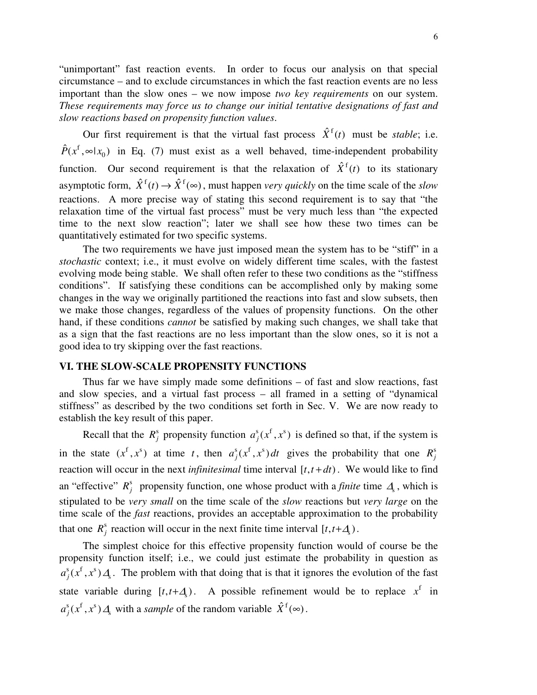"unimportant" fast reaction events. In order to focus our analysis on that special circumstance – and to exclude circumstances in which the fast reaction events are no less important than the slow ones – we now impose *two key requirements* on our system. *These requirements may force us to change our initial tentative designations of fast and slow reactions based on propensity function values*.

Our first requirement is that the virtual fast process  $\hat{X}^f(t)$  must be *stable*; i.e. f  $\hat{P}(x^f, ∞|x_0)$  in Eq. (7) must exist as a well behaved, time-independent probability function. Our second requirement is that the relaxation of  $\hat{X}^{f}(t)$  to its stationary asymptotic form,  $\hat{X}^{\text{f}}(t) \rightarrow \hat{X}^{\text{f}}(\infty)$ , must happen *very quickly* on the time scale of the *slow* reactions. A more precise way of stating this second requirement is to say that "the relaxation time of the virtual fast process" must be very much less than "the expected time to the next slow reaction"; later we shall see how these two times can be quantitatively estimated for two specific systems.

The two requirements we have just imposed mean the system has to be "stiff" in a *stochastic* context; i.e., it must evolve on widely different time scales, with the fastest evolving mode being stable. We shall often refer to these two conditions as the "stiffness conditions". If satisfying these conditions can be accomplished only by making some changes in the way we originally partitioned the reactions into fast and slow subsets, then we make those changes, regardless of the values of propensity functions. On the other hand, if these conditions *cannot* be satisfied by making such changes, we shall take that as a sign that the fast reactions are no less important than the slow ones, so it is not a good idea to try skipping over the fast reactions.

## **VI. THE SLOW-SCALE PROPENSITY FUNCTIONS**

Thus far we have simply made some definitions – of fast and slow reactions, fast and slow species, and a virtual fast process – all framed in a setting of "dynamical stiffness" as described by the two conditions set forth in Sec. V. We are now ready to establish the key result of this paper.

Recall that the  $R_j^s$  propensity function  $a_j^s(x^f, x^s)$  is defined so that, if the system is in the state  $(x^f, x^s)$  at time *t*, then  $a_j^s(x^f, x^s) dt$  gives the probability that one  $R_j^s$ reaction will occur in the next *infinitesimal* time interval  $[t, t + dt)$ . We would like to find an "effective"  $R^s_j$  propensity function, one whose product with a *finite* time  $\mathcal{A}_s$ , which is stipulated to be *very small* on the time scale of the *slow* reactions but *very large* on the time scale of the *fast* reactions, provides an acceptable approximation to the probability that one  $R_j^s$  reaction will occur in the next finite time interval  $[t, t+A_s)$ .

The simplest choice for this effective propensity function would of course be the propensity function itself; i.e., we could just estimate the probability in question as  $s \sim f \sim$ s  $a_j^s(x^t, x^s) \Delta s$ . The problem with that doing that is that it ignores the evolution of the fast state variable during  $[t, t + \Delta, )$ . A possible refinement would be to replace  $x^f$  in  $s_f$  f  $s^s$  $a_j^s(x^f, x^s) \Delta$  with a *sample* of the random variable  $\hat{X}^f(\infty)$ .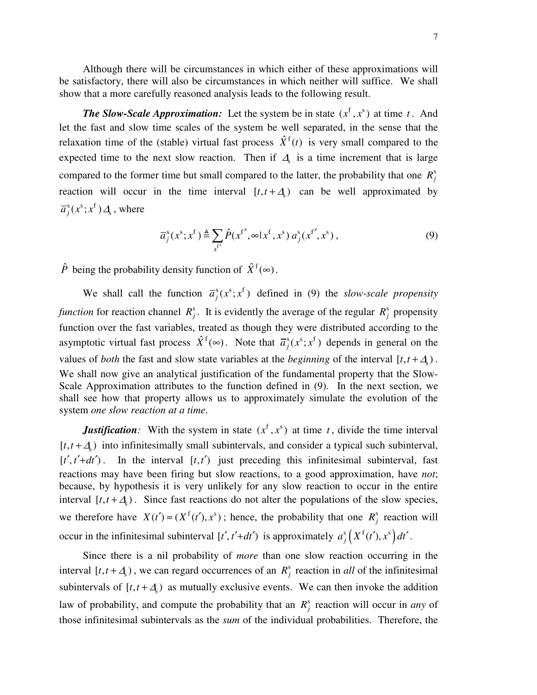Although there will be circumstances in which either of these approximations will be satisfactory, there will also be circumstances in which neither will suffice. We shall show that a more carefully reasoned analysis leads to the following result.

*The Slow-Scale Approximation:* Let the system be in state  $(x^f, x^s)$  at time *t*. And let the fast and slow time scales of the system be well separated, in the sense that the relaxation time of the (stable) virtual fast process  $\hat{X}^f(t)$  is very small compared to the expected time to the next slow reaction. Then if  $\mathcal{A}_s$  is a time increment that is large compared to the former time but small compared to the latter, the probability that one  $R_j^s$ reaction will occur in the time interval  $[t, t + \Delta s]$  can be well approximated by  $s_f \sim s \cdot r$  $\overline{a}_{j}^{\rm s}(x^{\rm s}; x^{\rm t})$  $\overline{\mathcal{A}}_{\rm s}$  , where

$$
\overline{a}_{j}^{s}(x^{s};x^{f}) \triangleq \sum_{x^{f'}} \hat{P}(x^{f'}, \infty | x^{f}, x^{s}) a_{j}^{s}(x^{f'}, x^{s}),
$$
\n(9)

 $\hat{P}$  being the probability density function of  $\hat{X}^{\text{f}}(\infty)$ .

We shall call the function  $\overline{a}_{j}^{s}(x^{s};x^{f})$  defined in (9) the *slow-scale propensity* function for reaction channel  $R_j^s$ . It is evidently the average of the regular  $R_j^s$  propensity function over the fast variables, treated as though they were distributed according to the asymptotic virtual fast process  $\hat{X}^f(\infty)$ . Note that  $\overline{a}_j^s(x^s; x^f)$  depends in general on the values of *both* the fast and slow state variables at the *beginning* of the interval  $[t, t + \Delta_s]$ . We shall now give an analytical justification of the fundamental property that the Slow-Scale Approximation attributes to the function defined in (9). In the next section, we shall see how that property allows us to approximately simulate the evolution of the system *one slow reaction at a time*.

*Justification:* With the system in state  $(x^f, x^s)$  at time *t*, divide the time interval  $[t, t + \Delta s]$  into infinitesimally small subintervals, and consider a typical such subinterval,  $[t', t' + dt')$ . In the interval  $[t, t')$  just preceding this infinitesimal subinterval, fast reactions may have been firing but slow reactions, to a good approximation, have *not*; because, by hypothesis it is very unlikely for any slow reaction to occur in the entire interval  $[t, t + \Delta s]$ . Since fast reactions do not alter the populations of the slow species, we therefore have  $X(t') \approx (X^f(t'), x^s)$ ; hence, the probability that one  $R^s_j$  reaction will occur in the infinitesimal subinterval  $[t', t'+dt')$  is approximately  $a_j^s(X^f(t'), x^s)dt'$ .

Since there is a nil probability of *more* than one slow reaction occurring in the interval  $[t, t + \Delta s]$ , we can regard occurrences of an  $R_j^s$  reaction in *all* of the infinitesimal subintervals of  $[t, t + \Delta_s]$  as mutually exclusive events. We can then invoke the addition law of probability, and compute the probability that an  $R_j^s$  reaction will occur in *any* of those infinitesimal subintervals as the *sum* of the individual probabilities. Therefore, the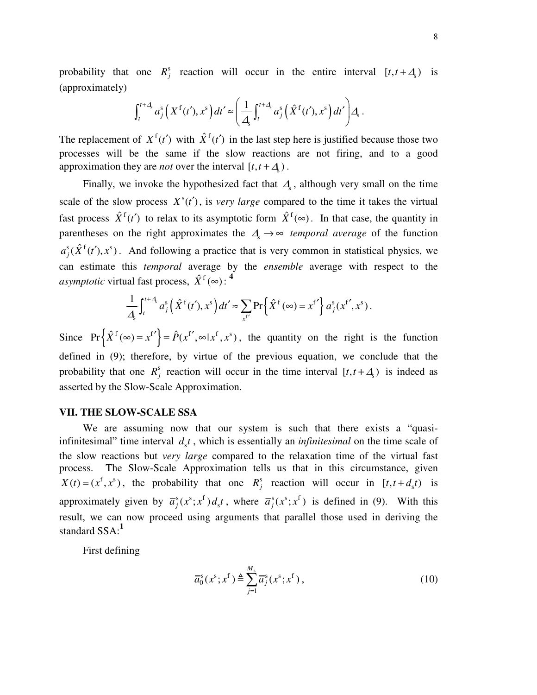probability that one  $R_j^s$  reaction will occur in the entire interval  $[t, t + \Delta_s]$  is (approximately)

$$
\int_t^{t+A} a_j^s\left(X^{\{f}(t'),x^s\right)dt' \approx \left(\frac{1}{A}\int_t^{t+A} a_j^s\left(\hat{X}^{\{f}(t'),x^s\right)dt'\right)A.
$$

The replacement of  $X^f(t')$  with  $\hat{X}^f(t')$  in the last step here is justified because those two processes will be the same if the slow reactions are not firing, and to a good approximation they are *not* over the interval  $[t, t + \Delta$ <sub>s</sub>).

Finally, we invoke the hypothesized fact that  $\Delta$ <sub>s</sub>, although very small on the time scale of the slow process  $X^s(t')$ , is *very large* compared to the time it takes the virtual fast process  $\hat{X}^f(t')$  to relax to its asymptotic form  $\hat{X}^f(\infty)$ . In that case, the quantity in parentheses on the right approximates the  $\Delta \rightarrow \infty$  *temporal average* of the function  $a_j^s(\hat{X}^f(t'), x^s)$ . And following a practice that is very common in statistical physics, we can estimate this *temporal* average by the *ensemble* average with respect to the *asymptotic* virtual fast process,  $\hat{X}^{\text{f}}(\infty)$ : <sup>4</sup>

$$
\frac{1}{4}\int_t^{t+4} a_j^s\left(\hat{X}^{\text{f}}(t'), x^s\right) dt' \approx \sum_{x^{t'}} \Pr\left\{\hat{X}^{\text{f}}(\infty) = x^{t'}\right\} a_j^s(x^{t'}, x^s).
$$

Since  $Pr\left\{ \hat{X}^f(\infty) = x^{f'} \right\} = \hat{P}(x^{f'}, \infty | x^f, x^s)$ , the quantity on the right is the function defined in (9); therefore, by virtue of the previous equation, we conclude that the probability that one  $R_j^s$  reaction will occur in the time interval  $[t, t + \Delta_s]$  is indeed as asserted by the Slow-Scale Approximation.

#### **VII. THE SLOW-SCALE SSA**

We are assuming now that our system is such that there exists a "quasiinfinitesimal" time interval  $d<sub>s</sub>t$ , which is essentially an *infinitesimal* on the time scale of the slow reactions but *very large* compared to the relaxation time of the virtual fast process. The Slow-Scale Approximation tells us that in this circumstance, given  $X(t) = (x^f, x^s)$ , the probability that one  $R^s_j$  reaction will occur in  $[t, t + d_s t)$  is approximately given by  $\overline{a}_{i}^{s}(x^{s};x^{f})$  $\overline{a}_j^s(x^s; x^f) d_s t$ , where  $\overline{a}_j^s(x^s; x^f)$  is defined in (9). With this result, we can now proceed using arguments that parallel those used in deriving the standard SSA: **1**

First defining

$$
\overline{a}_{0}^{s}(x^{s};x^{f}) \triangleq \sum_{j=1}^{M_{s}} \overline{a}_{j}^{s}(x^{s};x^{f}), \qquad (10)
$$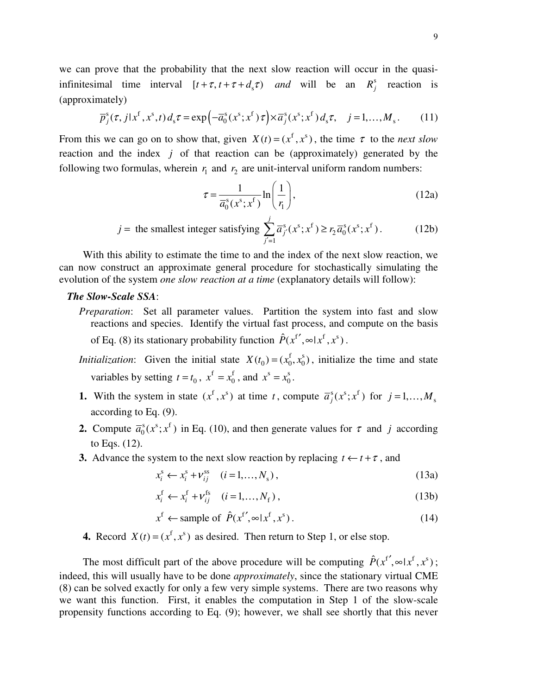we can prove that the probability that the next slow reaction will occur in the quasiinfinitesimal time interval  $[t + \tau, t + \tau + d_s \tau)$  *and* will be an  $R_j^s$  reaction is (approximately)

$$
\overline{p}_j^s(\tau, j|x^f, x^s, t) d_s \tau = \exp\left(-\overline{a}_0^s(x^s; x^f) \tau\right) \times \overline{a}_j^s(x^s; x^f) d_s \tau, \quad j = 1, \dots, M_s. \tag{11}
$$

From this we can go on to show that, given  $X(t) = (x^f, x^s)$ , the time  $\tau$  to the *next* slow reaction and the index *j* of that reaction can be (approximately) generated by the following two formulas, wherein  $r_1$  and  $r_2$  are unit-interval uniform random numbers:

$$
\tau = \frac{1}{\overline{a}_0^s(x^s; x^f)} \ln\left(\frac{1}{r_1}\right),\tag{12a}
$$

$$
j = \text{ the smallest integer satisfying } \sum_{j'=1}^{j} \overline{a}_{j'}^s(x^s; x^f) \ge r_2 \overline{a}_0^s(x^s; x^f). \tag{12b}
$$

With this ability to estimate the time to and the index of the next slow reaction, we can now construct an approximate general procedure for stochastically simulating the evolution of the system *one slow reaction at a time* (explanatory details will follow):

### *The Slow-Scale SSA*:

*Preparation*: Set all parameter values. Partition the system into fast and slow reactions and species. Identify the virtual fast process, and compute on the basis of Eq. (8) its stationary probability function  $\hat{P}(x^{f'}, \infty | x^f, x^s)$ .

*Initialization*: Given the initial state  $X(t_0) = (x_0^f, x_0^s)$ , initialize the time and state variables by setting  $t = t_0$ ,  $x^f = x_0^f$  $x^f = x_0^f$ , and  $x^s = x_0^s$  $x^{\rm s} = x_0^{\rm s}$ .

- **1.** With the system in state  $(x^f, x^s)$  at time *t*, compute  $\overline{a}_j^s(x^s; x^f)$  for  $j = 1, ..., M_s$ according to Eq. (9).
- **2.** Compute  $\overline{a}_0^s(x^s; x^f)$  $\overline{a}_0^s(x^s; x^t)$  in Eq. (10), and then generate values for  $\tau$  and *j* according to Eqs. (12).
- **3.** Advance the system to the next slow reaction by replacing  $t \leftarrow t + \tau$ , and

$$
x_i^s \leftarrow x_i^s + \nu_{ij}^{ss} \quad (i = 1, ..., N_s), \tag{13a}
$$

$$
x_i^f \leftarrow x_i^f + \nu_{ij}^{fs} \quad (i = 1, ..., N_f), \tag{13b}
$$

$$
x^f \leftarrow \text{sample of } \hat{P}(x^{f'}, \infty | x^f, x^s). \tag{14}
$$

**4.** Record  $X(t) = (x^f, x^s)$  as desired. Then return to Step 1, or else stop.

The most difficult part of the above procedure will be computing  $\hat{P}(x^{f'}, \infty | x^f, x^s)$ ; indeed, this will usually have to be done *approximately*, since the stationary virtual CME (8) can be solved exactly for only a few very simple systems. There are two reasons why we want this function. First, it enables the computation in Step 1 of the slow-scale propensity functions according to Eq. (9); however, we shall see shortly that this never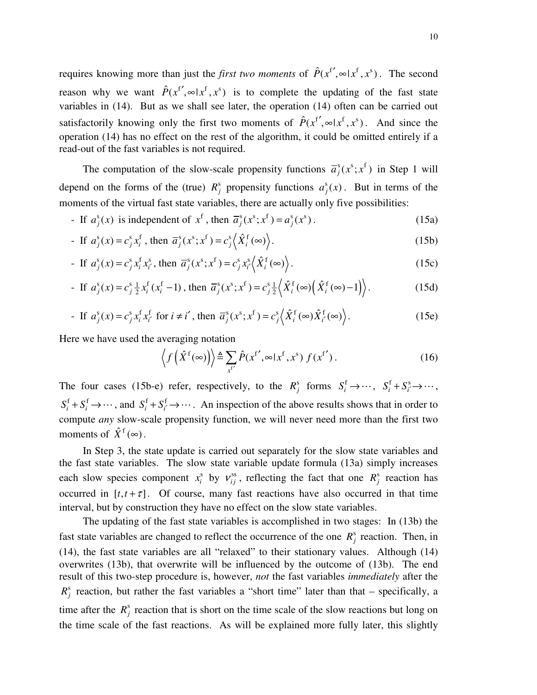requires knowing more than just the *first two moments* of  $\hat{P}(x^{f'}, \infty | x^f, x^s)$ . The second reason why we want  $\hat{P}(x^{f'}, \infty | x^f, x^s)$  is to complete the updating of the fast state variables in (14). But as we shall see later, the operation (14) often can be carried out satisfactorily knowing only the first two moments of  $\hat{P}(x^{f'}, \infty | x^f, x^s)$ . And since the operation (14) has no effect on the rest of the algorithm, it could be omitted entirely if a read-out of the fast variables is not required.

The computation of the slow-scale propensity functions  $\overline{a}_{j}^{s}(x^{s};x^{f})$  in Step 1 will depend on the forms of the (true)  $R^s_j$  propensity functions  $a^s_j(x)$ . But in terms of the moments of the virtual fast state variables, there are actually only five possibilities:

- If 
$$
a_j^s(x)
$$
 is independent of  $x^f$ , then  $\overline{a}_j^s(x^s; x^f) = a_j^s(x^s)$ . (15a)

- If 
$$
a_j^s(x) = c_j^s x_i^f
$$
, then  $\overline{a}_j^s(x^s; x^f) = c_j^s \left\langle \hat{X}_i^f(\infty) \right\rangle$ . (15b)

- If 
$$
a_j^s(x) = c_j^s x_i^f x_{i'}^s
$$
, then  $\overline{a}_j^s(x^s; x^f) = c_j^s x_{i'}^s(\hat{X}_i^f(\infty))$ . (15c)

- If 
$$
a_j^s(x) = c_j^s \frac{1}{2} x_i^f(x_i^f - 1)
$$
, then  $\overline{a}_j^s(x^s; x^f) = c_j^s \frac{1}{2} \langle \hat{X}_i^f(\infty) \left( \hat{X}_i^f(\infty) - 1 \right) \rangle$ . (15d)

- If 
$$
a_j^s(x) = c_j^s x_i^f x_i^f
$$
 for  $i \neq i'$ , then  $\overline{a}_j^s(x^s; x^f) = c_j^s \left\langle \hat{X}_i^f(\infty) \hat{X}_i^f(\infty) \right\rangle$ . (15e)

Here we have used the averaging notation

$$
\left\langle f\left(\hat{X}^{\{f\}}\left(\infty\right)\right)\right\rangle \triangleq \sum_{x^{f'}} \hat{P}(x^{f'}, \infty | x^{f}, x^{s}) f(x^{f'}).
$$
 (16)

The four cases (15b-e) refer, respectively, to the  $R_j^s$  forms  $S_i^f$  $S_i^{\text{f}} \rightarrow \cdots$ ,  $S_i^{\text{f}} + S_{i'}^{\text{s}}$  $S_i^{\text{f}} + S_{i'}^{\text{s}} \rightarrow \cdots,$  $f$ ,  $f$  $S_i^{\text{f}} + S_i^{\text{f}} \rightarrow \cdots$ , and  $S_i^{\text{f}} + S_i^{\text{f}}$  $S_i^f + S_i^f \rightarrow \cdots$ . An inspection of the above results shows that in order to compute *any* slow-scale propensity function, we will never need more than the first two moments of  $\hat{X}^{\text{f}}(\infty)$ .

In Step 3, the state update is carried out separately for the slow state variables and the fast state variables. The slow state variable update formula (13a) simply increases each slow species component  $x_i^s$  $x_i^s$  by  $v_{ij}^{ss}$ , reflecting the fact that one  $R_j^s$  reaction has occurred in  $[t, t + \tau]$ . Of course, many fast reactions have also occurred in that time interval, but by construction they have no effect on the slow state variables.

The updating of the fast state variables is accomplished in two stages: In (13b) the fast state variables are changed to reflect the occurrence of the one  $R_j^s$  reaction. Then, in (14), the fast state variables are all "relaxed" to their stationary values. Although (14) overwrites (13b), that overwrite will be influenced by the outcome of (13b). The end result of this two-step procedure is, however, *not* the fast variables *immediately* after the  $R_j^s$  reaction, but rather the fast variables a "short time" later than that – specifically, a time after the  $R_j^s$  reaction that is short on the time scale of the slow reactions but long on the time scale of the fast reactions. As will be explained more fully later, this slightly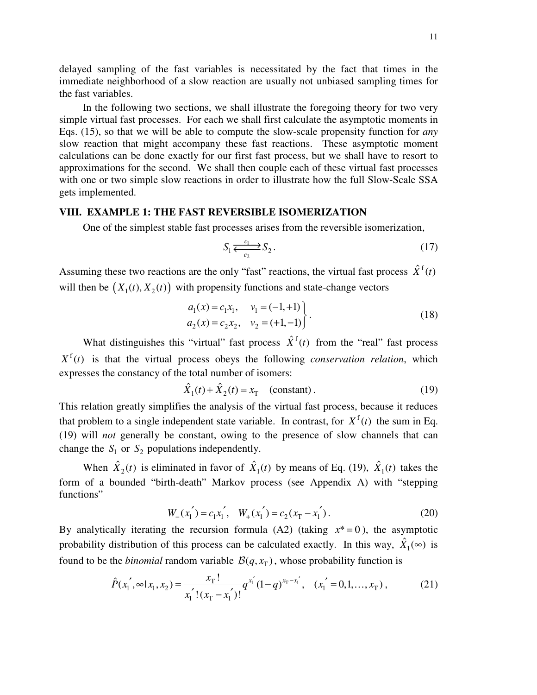delayed sampling of the fast variables is necessitated by the fact that times in the immediate neighborhood of a slow reaction are usually not unbiased sampling times for the fast variables.

In the following two sections, we shall illustrate the foregoing theory for two very simple virtual fast processes. For each we shall first calculate the asymptotic moments in Eqs. (15), so that we will be able to compute the slow-scale propensity function for *any* slow reaction that might accompany these fast reactions. These asymptotic moment calculations can be done exactly for our first fast process, but we shall have to resort to approximations for the second. We shall then couple each of these virtual fast processes with one or two simple slow reactions in order to illustrate how the full Slow-Scale SSA gets implemented.

# **VIII. EXAMPLE 1: THE FAST REVERSIBLE ISOMERIZATION**

One of the simplest stable fast processes arises from the reversible isomerization,

$$
S_1 \xleftarrow{c_1} S_2. \tag{17}
$$

Assuming these two reactions are the only "fast" reactions, the virtual fast process  $\hat{X}^{\text{f}}(t)$ will then be  $(X_1(t), X_2(t))$  with propensity functions and state-change vectors

$$
a_1(x) = c_1 x_1, \quad v_1 = (-1, +1) a_2(x) = c_2 x_2, \quad v_2 = (+1, -1)
$$
\n(18)

What distinguishes this "virtual" fast process  $\hat{X}^f(t)$  from the "real" fast process  $X^{f}(t)$  is that the virtual process obeys the following *conservation relation*, which expresses the constancy of the total number of isomers:

$$
\hat{X}_1(t) + \hat{X}_2(t) = x_\text{T} \quad \text{(constant)}\,. \tag{19}
$$

This relation greatly simplifies the analysis of the virtual fast process, because it reduces that problem to a single independent state variable. In contrast, for  $X^f(t)$  the sum in Eq. (19) will *not* generally be constant, owing to the presence of slow channels that can change the  $S_1$  or  $S_2$  populations independently.

When  $\hat{X}_2(t)$  is eliminated in favor of  $\hat{X}_1(t)$  by means of Eq. (19),  $\hat{X}_1(t)$  takes the form of a bounded "birth-death" Markov process (see Appendix A) with "stepping functions"

$$
W_{-}(x_1') = c_1 x_1', \quad W_{+}(x_1') = c_2(x_1 - x_1'). \tag{20}
$$

By analytically iterating the recursion formula (A2) (taking  $x^* = 0$ ), the asymptotic probability distribution of this process can be calculated exactly. In this way,  $\hat{X}_1(\infty)$  is found to be the *binomial* random variable  $\mathcal{B}(q, x_T)$ , whose probability function is

$$
\hat{P}(x_1', \infty | x_1, x_2) = \frac{x_1!}{x_1'! (x_1 - x_1')} q^{x_1'} (1 - q)^{x_1 - x_1'}, \quad (x_1' = 0, 1, ..., x_T),
$$
\n(21)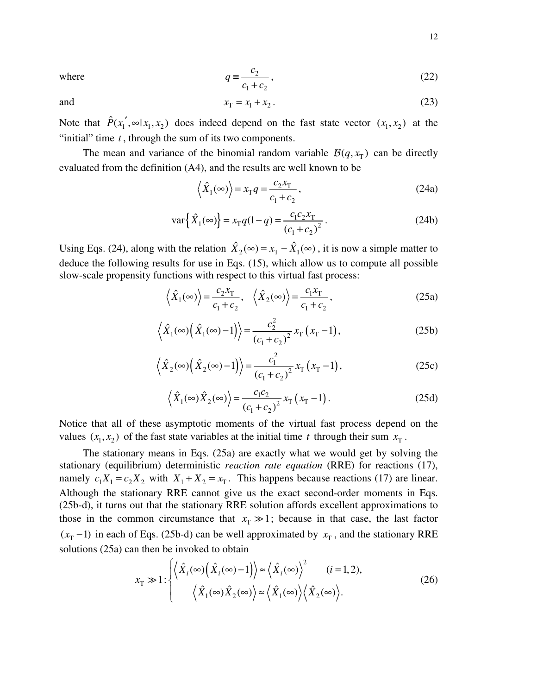$$
q \equiv \frac{c_2}{c_1 + c_2},\tag{22}
$$

where

and 
$$
x_T = x_1 + x_2
$$
. (23)

Note that  $\hat{P}(x_1', \infty | x_1, x_2)$  does indeed depend on the fast state vector  $(x_1, x_2)$  at the "initial" time *t* , through the sum of its two components.

The mean and variance of the binomial random variable  $\mathcal{B}(q, x_T)$  can be directly evaluated from the definition (A4), and the results are well known to be

$$
\left\langle \hat{X}_1(\infty) \right\rangle = x_{\rm T} q = \frac{c_2 x_{\rm T}}{c_1 + c_2},\tag{24a}
$$

$$
\text{var}\left\{\hat{X}_1(\infty)\right\} = x_\text{T}q(1-q) = \frac{c_1c_2x_\text{T}}{(c_1+c_2)^2} \,. \tag{24b}
$$

Using Eqs. (24), along with the relation  $\hat{X}_2(\infty) = x_T - \hat{X}_1(\infty)$ , it is now a simple matter to deduce the following results for use in Eqs. (15), which allow us to compute all possible slow-scale propensity functions with respect to this virtual fast process:

$$
\left\langle \hat{X}_1(\infty) \right\rangle = \frac{c_2 x_T}{c_1 + c_2}, \quad \left\langle \hat{X}_2(\infty) \right\rangle = \frac{c_1 x_T}{c_1 + c_2},\tag{25a}
$$

$$
\left\langle \hat{X}_1(\infty) \left( \hat{X}_1(\infty) - 1 \right) \right\rangle = \frac{c_2^2}{\left( c_1 + c_2 \right)^2} x_\text{T} \left( x_\text{T} - 1 \right),\tag{25b}
$$

$$
\left\langle \hat{X}_2(\infty) \left( \hat{X}_2(\infty) - 1 \right) \right\rangle = \frac{c_1^2}{\left( c_1 + c_2 \right)^2} x_\Gamma \left( x_\Gamma - 1 \right),\tag{25c}
$$

$$
\langle \hat{X}_1(\infty) \hat{X}_2(\infty) \rangle = \frac{c_1 c_2}{(c_1 + c_2)^2} x_\text{T} (x_\text{T} - 1).
$$
 (25d)

Notice that all of these asymptotic moments of the virtual fast process depend on the values  $(x_1, x_2)$  of the fast state variables at the initial time *t* through their sum  $x_T$ .

The stationary means in Eqs. (25a) are exactly what we would get by solving the stationary (equilibrium) deterministic *reaction rate equation* (RRE) for reactions (17), namely  $c_1 X_1 = c_2 X_2$  with  $X_1 + X_2 = x_T$ . This happens because reactions (17) are linear. Although the stationary RRE cannot give us the exact second-order moments in Eqs. (25b-d), it turns out that the stationary RRE solution affords excellent approximations to those in the common circumstance that  $x_T \gg 1$ ; because in that case, the last factor  $(x_T - 1)$  in each of Eqs. (25b-d) can be well approximated by  $x_T$ , and the stationary RRE solutions (25a) can then be invoked to obtain

$$
x_{\rm T} \gg 1: \begin{cases} \left\langle \hat{X}_i(\infty) \left( \hat{X}_i(\infty) - 1 \right) \right\rangle \approx \left\langle \hat{X}_i(\infty) \right\rangle^2 & (i = 1, 2), \\ \left\langle \hat{X}_1(\infty) \hat{X}_2(\infty) \right\rangle \approx \left\langle \hat{X}_1(\infty) \right\rangle \left\langle \hat{X}_2(\infty) \right\rangle. \end{cases} \tag{26}
$$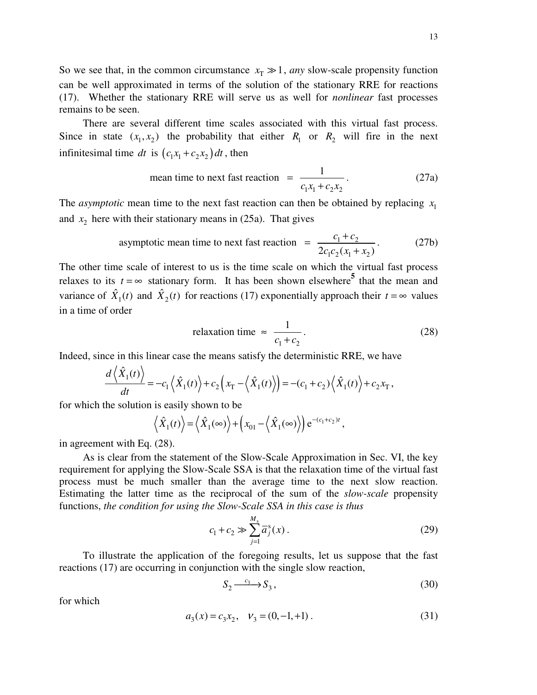So we see that, in the common circumstance  $x_T \gg 1$ , *any* slow-scale propensity function can be well approximated in terms of the solution of the stationary RRE for reactions (17). Whether the stationary RRE will serve us as well for *nonlinear* fast processes remains to be seen.

There are several different time scales associated with this virtual fast process. Since in state  $(x_1, x_2)$  the probability that either  $R_1$  or  $R_2$  will fire in the next infinitesimal time *dt* is  $(c_1x_1 + c_2x_2) dt$ , then

mean time to next fast reaction 
$$
=
$$
  $\frac{1}{c_1 x_1 + c_2 x_2}$ . (27a)

The *asymptotic* mean time to the next fast reaction can then be obtained by replacing  $x_1$ and  $x_2$  here with their stationary means in (25a). That gives

asymptotic mean time to next fast reaction 
$$
= \frac{c_1 + c_2}{2c_1c_2(x_1 + x_2)}.
$$
 (27b)

The other time scale of interest to us is the time scale on which the virtual fast process relaxes to its  $t = \infty$  stationary form. It has been shown elsewhere<sup>5</sup> that the mean and variance of  $\hat{X}_1(t)$  and  $\hat{X}_2(t)$  for reactions (17) exponentially approach their  $t = \infty$  values in a time of order

relaxation time 
$$
\approx \frac{1}{c_1 + c_2}
$$
. (28)

Indeed, since in this linear case the means satisfy the deterministic RRE, we have

$$
\frac{d\left\langle \hat{X}_1(t) \right\rangle}{dt} = -c_1 \left\langle \hat{X}_1(t) \right\rangle + c_2 \left( x_\text{T} - \left\langle \hat{X}_1(t) \right\rangle \right) = -(c_1 + c_2) \left\langle \hat{X}_1(t) \right\rangle + c_2 x_\text{T},
$$

for which the solution is easily shown to be

$$
\langle \hat{X}_1(t) \rangle = \langle \hat{X}_1(\infty) \rangle + (x_{01} - \langle \hat{X}_1(\infty) \rangle) e^{-(c_1+c_2)t},
$$

in agreement with Eq. (28).

As is clear from the statement of the Slow-Scale Approximation in Sec. VI, the key requirement for applying the Slow-Scale SSA is that the relaxation time of the virtual fast process must be much smaller than the average time to the next slow reaction. Estimating the latter time as the reciprocal of the sum of the *slow-scale* propensity functions, *the condition for using the Slow-Scale SSA in this case is thus*

$$
c_1 + c_2 \gg \sum_{j=1}^{M_s} \overline{a}_j^s(x).
$$
 (29)

To illustrate the application of the foregoing results, let us suppose that the fast reactions (17) are occurring in conjunction with the single slow reaction,

$$
S_2 \xrightarrow{c_3} S_3, \tag{30}
$$

for which

$$
a_3(x) = c_3 x_2, \quad v_3 = (0, -1, +1).
$$
 (31)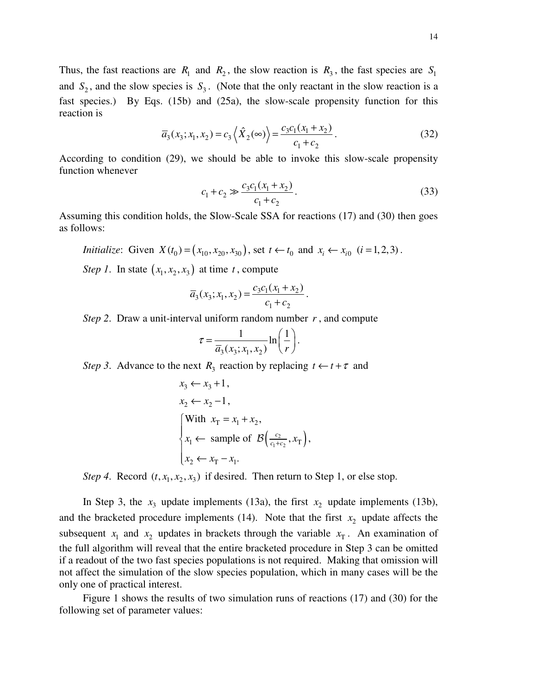Thus, the fast reactions are  $R_1$  and  $R_2$ , the slow reaction is  $R_3$ , the fast species are  $S_1$ and  $S_2$ , and the slow species is  $S_3$ . (Note that the only reactant in the slow reaction is a fast species.) By Eqs. (15b) and (25a), the slow-scale propensity function for this reaction is

$$
\overline{a}_3(x_3; x_1, x_2) = c_3 \left\langle \hat{X}_2(\infty) \right\rangle = \frac{c_3 c_1 (x_1 + x_2)}{c_1 + c_2}.
$$
\n(32)

According to condition (29), we should be able to invoke this slow-scale propensity function whenever

$$
c_1 + c_2 \gg \frac{c_3 c_1 (x_1 + x_2)}{c_1 + c_2}.
$$
\n(33)

Assuming this condition holds, the Slow-Scale SSA for reactions (17) and (30) then goes as follows:

*Initialize*: Given 
$$
X(t_0) = (x_{10}, x_{20}, x_{30})
$$
, set  $t \leftarrow t_0$  and  $x_i \leftarrow x_{i0}$   $(i = 1, 2, 3)$ .

*Step* 1. In state  $(x_1, x_2, x_3)$  at time *t*, compute

$$
\overline{a}_3(x_3; x_1, x_2) = \frac{c_3 c_1(x_1 + x_2)}{c_1 + c_2}.
$$

*Step 2*. Draw a unit-interval uniform random number *r* , and compute

$$
\tau = \frac{1}{\overline{a}_3(x_3; x_1, x_2)} \ln\left(\frac{1}{r}\right).
$$

*Step* 3. Advance to the next  $R_3$  reaction by replacing  $t \leftarrow t + \tau$  and

$$
x_3 \leftarrow x_3 + 1,
$$
  
\n
$$
x_2 \leftarrow x_2 - 1,
$$
  
\nWith  $x_T = x_1 + x_2$ ,  
\n
$$
x_1 \leftarrow \text{ sample of } \mathcal{B}\left(\frac{c_2}{c_1 + c_2}, x_T\right),
$$
  
\n
$$
x_2 \leftarrow x_T - x_1.
$$

*Step* 4. Record  $(t, x_1, x_2, x_3)$  if desired. Then return to Step 1, or else stop.

In Step 3, the  $x_3$  update implements (13a), the first  $x_2$  update implements (13b), and the bracketed procedure implements  $(14)$ . Note that the first  $x_2$  update affects the subsequent  $x_1$  and  $x_2$  updates in brackets through the variable  $x_T$ . An examination of the full algorithm will reveal that the entire bracketed procedure in Step 3 can be omitted if a readout of the two fast species populations is not required. Making that omission will not affect the simulation of the slow species population, which in many cases will be the only one of practical interest.

Figure 1 shows the results of two simulation runs of reactions (17) and (30) for the following set of parameter values: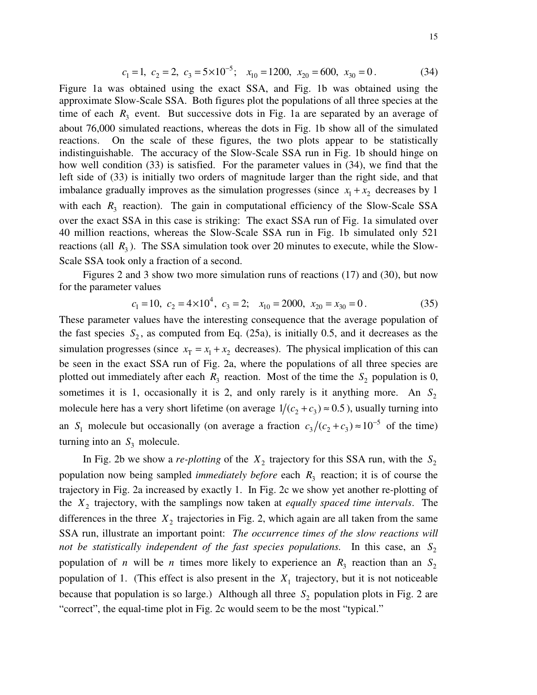$$
c_1 = 1, c_2 = 2, c_3 = 5 \times 10^{-5}; x_{10} = 1200, x_{20} = 600, x_{30} = 0.
$$
 (34)

Figure 1a was obtained using the exact SSA, and Fig. 1b was obtained using the approximate Slow-Scale SSA. Both figures plot the populations of all three species at the time of each  $R_3$  event. But successive dots in Fig. 1a are separated by an average of about 76,000 simulated reactions, whereas the dots in Fig. 1b show all of the simulated reactions. On the scale of these figures, the two plots appear to be statistically indistinguishable. The accuracy of the Slow-Scale SSA run in Fig. 1b should hinge on how well condition (33) is satisfied. For the parameter values in (34), we find that the left side of (33) is initially two orders of magnitude larger than the right side, and that imbalance gradually improves as the simulation progresses (since  $x_1 + x_2$  decreases by 1 with each  $R_3$  reaction). The gain in computational efficiency of the Slow-Scale SSA over the exact SSA in this case is striking: The exact SSA run of Fig. 1a simulated over 40 million reactions, whereas the Slow-Scale SSA run in Fig. 1b simulated only 521 reactions (all  $R_3$ ). The SSA simulation took over 20 minutes to execute, while the Slow-Scale SSA took only a fraction of a second.

Figures 2 and 3 show two more simulation runs of reactions (17) and (30), but now for the parameter values

$$
c_1 = 10
$$
,  $c_2 = 4 \times 10^4$ ,  $c_3 = 2$ ;  $x_{10} = 2000$ ,  $x_{20} = x_{30} = 0$ . (35)

These parameter values have the interesting consequence that the average population of the fast species  $S_2$ , as computed from Eq. (25a), is initially 0.5, and it decreases as the simulation progresses (since  $x_T = x_1 + x_2$  decreases). The physical implication of this can be seen in the exact SSA run of Fig. 2a, where the populations of all three species are plotted out immediately after each  $R_3$  reaction. Most of the time the  $S_2$  population is 0, sometimes it is 1, occasionally it is 2, and only rarely is it anything more. An  $S_2$ molecule here has a very short lifetime (on average  $1/(c_2 + c_3) \approx 0.5$ ), usually turning into an S<sub>1</sub> molecule but occasionally (on average a fraction  $c_3/(c_2+c_3) \approx 10^{-5}$  $c_3/(c_2 + c_3) \approx 10^{-5}$  of the time) turning into an  $S_3$  molecule.

In Fig. 2b we show a *re-plotting* of the  $X_2$  trajectory for this SSA run, with the  $S_2$ population now being sampled *immediately before* each  $R_3$  reaction; it is of course the trajectory in Fig. 2a increased by exactly 1. In Fig. 2c we show yet another re-plotting of the *X*<sup>2</sup> trajectory, with the samplings now taken at *equally spaced time intervals*. The differences in the three  $X_2$  trajectories in Fig. 2, which again are all taken from the same SSA run, illustrate an important point: *The occurrence times of the slow reactions will not be statistically independent of the fast species populations.* In this case, an  $S_2$ population of *n* will be *n* times more likely to experience an  $R_3$  reaction than an  $S_2$ population of 1. (This effect is also present in the  $X_1$  trajectory, but it is not noticeable because that population is so large.) Although all three  $S_2$  population plots in Fig. 2 are "correct", the equal-time plot in Fig. 2c would seem to be the most "typical."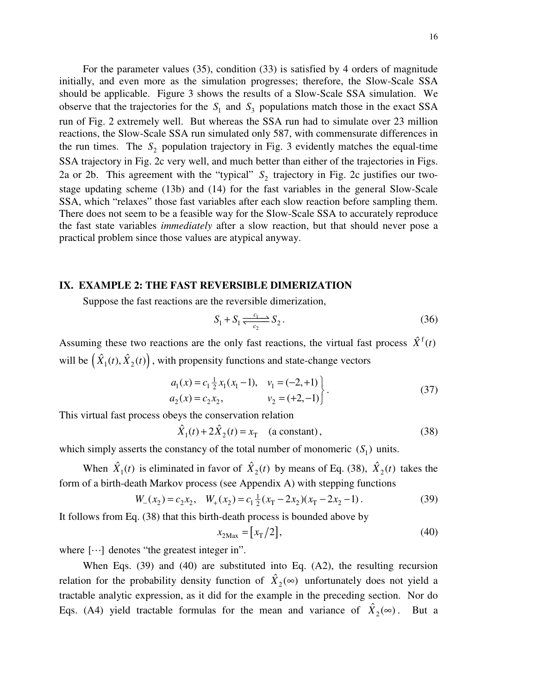For the parameter values (35), condition (33) is satisfied by 4 orders of magnitude initially, and even more as the simulation progresses; therefore, the Slow-Scale SSA should be applicable. Figure 3 shows the results of a Slow-Scale SSA simulation. We observe that the trajectories for the  $S_1$  and  $S_3$  populations match those in the exact SSA run of Fig. 2 extremely well. But whereas the SSA run had to simulate over 23 million reactions, the Slow-Scale SSA run simulated only 587, with commensurate differences in the run times. The  $S_2$  population trajectory in Fig. 3 evidently matches the equal-time SSA trajectory in Fig. 2c very well, and much better than either of the trajectories in Figs. 2a or 2b. This agreement with the "typical"  $S_2$  trajectory in Fig. 2c justifies our twostage updating scheme (13b) and (14) for the fast variables in the general Slow-Scale SSA, which "relaxes" those fast variables after each slow reaction before sampling them. There does not seem to be a feasible way for the Slow-Scale SSA to accurately reproduce the fast state variables *immediately* after a slow reaction, but that should never pose a practical problem since those values are atypical anyway.

### **IX. EXAMPLE 2: THE FAST REVERSIBLE DIMERIZATION**

Suppose the fast reactions are the reversible dimerization,

$$
S_1 + S_1 \xrightarrow{c_1 \atop c_2} S_2. \tag{36}
$$

Assuming these two reactions are the only fast reactions, the virtual fast process  $\hat{X}^{\text{f}}(t)$ will be  $(\hat{X}_1(t), \hat{X}_2(t))$ , with propensity functions and state-change vectors

$$
a_1(x) = c_1 \frac{1}{2} x_1(x_1 - 1), \quad v_1 = (-2, +1) a_2(x) = c_2 x_2, \qquad v_2 = (+2, -1) \tag{37}
$$

This virtual fast process obeys the conservation relation

$$
\hat{X}_1(t) + 2\hat{X}_2(t) = x_\text{T} \quad \text{(a constant)},\tag{38}
$$

which simply asserts the constancy of the total number of monomeric  $(S_1)$  units.

When  $\hat{X}_1(t)$  is eliminated in favor of  $\hat{X}_2(t)$  by means of Eq. (38),  $\hat{X}_2(t)$  takes the form of a birth-death Markov process (see Appendix A) with stepping functions

$$
W_{-}(x_2) = c_2 x_2, \quad W_{+}(x_2) = c_1 \frac{1}{2} (x_1 - 2x_2)(x_1 - 2x_2 - 1).
$$
 (39)

It follows from Eq. (38) that this birth-death process is bounded above by

$$
x_{2\text{Max}} = [x_{\text{T}}/2],\tag{40}
$$

where  $[\cdots]$  denotes "the greatest integer in".

When Eqs. (39) and (40) are substituted into Eq. (A2), the resulting recursion relation for the probability density function of  $\hat{X}_2(\infty)$  unfortunately does not yield a tractable analytic expression, as it did for the example in the preceding section. Nor do Eqs. (A4) yield tractable formulas for the mean and variance of  $\hat{X}_2(\infty)$ . But a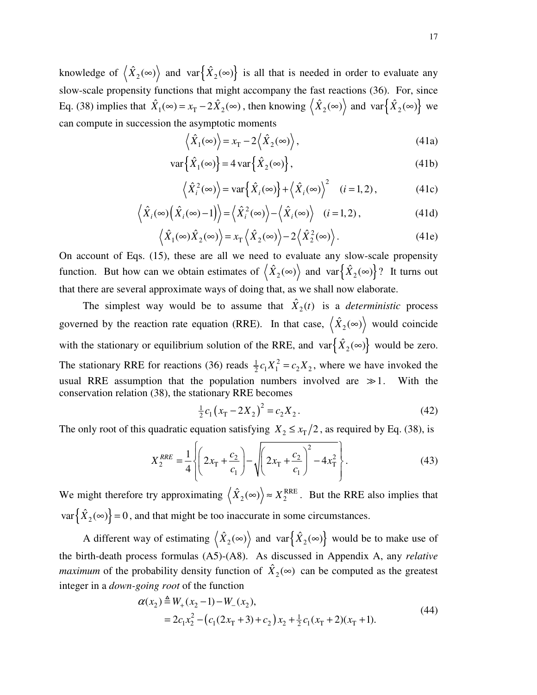knowledge of  $\langle \hat{X}_2(\infty) \rangle$  and  $var \{ \hat{X}_2(\infty) \}$  is all that is needed in order to evaluate any slow-scale propensity functions that might accompany the fast reactions (36). For, since Eq. (38) implies that  $\hat{X}_1(\infty) = x_T - 2\hat{X}_2(\infty)$ , then knowing  $\langle \hat{X}_2(\infty) \rangle$  and  $var\{\hat{X}_2(\infty)\}$  we can compute in succession the asymptotic moments

$$
\langle \hat{X}_1(\infty) \rangle = x_\text{T} - 2 \langle \hat{X}_2(\infty) \rangle, \tag{41a}
$$

$$
\text{var}\left\{\hat{X}_1(\infty)\right\} = 4\,\text{var}\left\{\hat{X}_2(\infty)\right\},\tag{41b}
$$

$$
\left\langle \hat{X}_{i}^{2}(\infty)\right\rangle = \text{var}\left\{\hat{X}_{i}(\infty)\right\} + \left\langle \hat{X}_{i}(\infty)\right\rangle^{2} \quad (i = 1, 2), \tag{41c}
$$

$$
\left\langle \hat{X}_i(\infty) \left( \hat{X}_i(\infty) - 1 \right) \right\rangle = \left\langle \hat{X}_i^2(\infty) \right\rangle - \left\langle \hat{X}_i(\infty) \right\rangle \quad (i = 1, 2), \tag{41d}
$$

$$
\langle \hat{X}_1(\infty) \hat{X}_2(\infty) \rangle = x_\text{T} \langle \hat{X}_2(\infty) \rangle - 2 \langle \hat{X}_2^2(\infty) \rangle. \tag{41e}
$$

On account of Eqs. (15), these are all we need to evaluate any slow-scale propensity function. But how can we obtain estimates of  $\langle \hat{X}_2(\infty) \rangle$  and  $var \{ \hat{X}_2(\infty) \}$ ? It turns out that there are several approximate ways of doing that, as we shall now elaborate.

The simplest way would be to assume that  $\hat{X}_2(t)$  is a *deterministic* process governed by the reaction rate equation (RRE). In that case,  $\langle \hat{X}_2(\infty) \rangle$  would coincide with the stationary or equilibrium solution of the RRE, and  $var{\hat{X}_2(\infty)}$  would be zero. The stationary RRE for reactions (36) reads  $\frac{1}{2}c_1X_1^2$  $\frac{1}{2}c_1X_1^2 = c_2X_2$ , where we have invoked the usual RRE assumption that the population numbers involved are  $\gg 1$ . With the conservation relation (38), the stationary RRE becomes

$$
\frac{1}{2}c_1(x_T - 2X_2)^2 = c_2X_2.
$$
 (42)

The only root of this quadratic equation satisfying  $X_2 \le x_T/2$ , as required by Eq. (38), is

$$
X_2^{RRE} = \frac{1}{4} \left\{ \left( 2x_T + \frac{c_2}{c_1} \right) - \sqrt{\left( 2x_T + \frac{c_2}{c_1} \right)^2 - 4x_T^2} \right\}.
$$
 (43)

We might therefore try approximating  $\langle \hat{X}_2(\infty) \rangle \approx X_2^{\text{RRE}}$  $\langle \hat{X}_2(\infty) \rangle \approx X_2^{\text{RRE}}$ . But the RRE also implies that  $var\{\hat{X}_2(\infty)\}=0$ , and that might be too inaccurate in some circumstances.

A different way of estimating  $\langle \hat{X}_2(\infty) \rangle$  and  $var \{ \hat{X}_2(\infty) \}$  would be to make use of the birth-death process formulas (A5)-(A8). As discussed in Appendix A, any *relative maximum* of the probability density function of  $\hat{X}_2(\infty)$  can be computed as the greatest integer in a *down-going root* of the function

$$
\alpha(x_2) \triangleq W_+(x_2 - 1) - W_-(x_2),
$$
  
=  $2c_1x_2^2 - (c_1(2x_1 + 3) + c_2)x_2 + \frac{1}{2}c_1(x_1 + 2)(x_1 + 1).$  (44)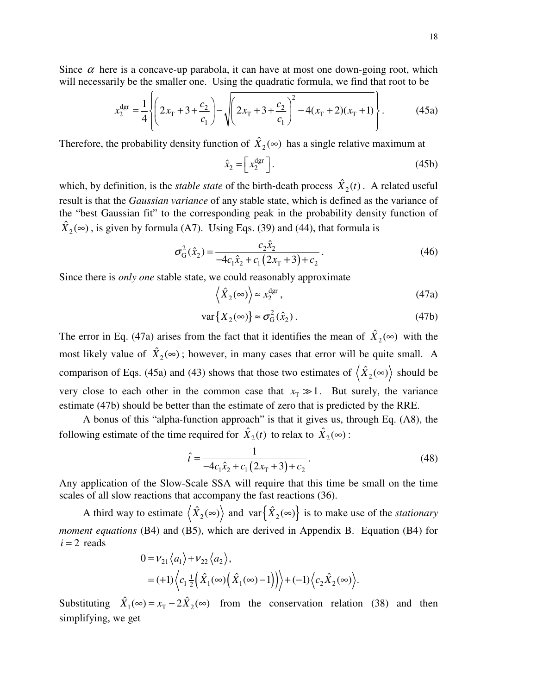Since  $\alpha$  here is a concave-up parabola, it can have at most one down-going root, which will necessarily be the smaller one. Using the quadratic formula, we find that root to be

$$
x_2^{\text{dgr}} = \frac{1}{4} \left\{ \left( 2x_T + 3 + \frac{c_2}{c_1} \right) - \sqrt{\left( 2x_T + 3 + \frac{c_2}{c_1} \right)^2 - 4(x_T + 2)(x_T + 1)} \right\}.
$$
 (45a)

Therefore, the probability density function of  $\hat{X}_2(\infty)$  has a single relative maximum at

$$
\hat{x}_2 = \left[ x_2^{\text{dgr}} \right]. \tag{45b}
$$

which, by definition, is the *stable state* of the birth-death process  $\hat{X}_2(t)$ . A related useful result is that the *Gaussian variance* of any stable state, which is defined as the variance of the "best Gaussian fit" to the corresponding peak in the probability density function of  $\hat{X}_2(\infty)$ , is given by formula (A7). Using Eqs. (39) and (44), that formula is

$$
\sigma_{\rm G}^2(\hat{x}_2) = \frac{c_2 \hat{x}_2}{-4c_1 \hat{x}_2 + c_1 (2x_{\rm T} + 3) + c_2}.
$$
\n(46)

Since there is *only one* stable state, we could reasonably approximate

$$
\left\langle \hat{X}_2(\infty) \right\rangle \approx x_2^{\text{dgr}},\tag{47a}
$$

$$
\text{var}\{X_2(\infty)\} \approx \sigma_G^2(\hat{x}_2). \tag{47b}
$$

The error in Eq. (47a) arises from the fact that it identifies the mean of  $\hat{X}_2(\infty)$  with the most likely value of  $\hat{X}_2(\infty)$ ; however, in many cases that error will be quite small. A comparison of Eqs. (45a) and (43) shows that those two estimates of  $\langle \hat{X}_2(\infty) \rangle$  should be very close to each other in the common case that  $x_T \gg 1$ . But surely, the variance estimate (47b) should be better than the estimate of zero that is predicted by the RRE.

A bonus of this "alpha-function approach" is that it gives us, through Eq. (A8), the following estimate of the time required for  $\hat{X}_2(t)$  to relax to  $\hat{X}_2(\infty)$ :

$$
\hat{t} = \frac{1}{-4c_1\hat{x}_2 + c_1(2x_1 + 3) + c_2}.
$$
\n(48)

Any application of the Slow-Scale SSA will require that this time be small on the time scales of all slow reactions that accompany the fast reactions (36).

A third way to estimate  $\langle \hat{X}_2(\infty) \rangle$  and  $var \{ \hat{X}_2(\infty) \}$  is to make use of the *stationary moment equations* (B4) and (B5), which are derived in Appendix B. Equation (B4) for  $i = 2$  reads

$$
0 = \nu_{21} \langle a_1 \rangle + \nu_{22} \langle a_2 \rangle,
$$
  
= (+1) \langle c\_1 \frac{1}{2} (\hat{X}\_1(\infty) (\hat{X}\_1(\infty) - 1)) \rangle + (-1) \langle c\_2 \hat{X}\_2(\infty) \rangle.

Substituting  $\hat{X}_1(\infty) = x_T - 2\hat{X}_2(\infty)$  from the conservation relation (38) and then simplifying, we get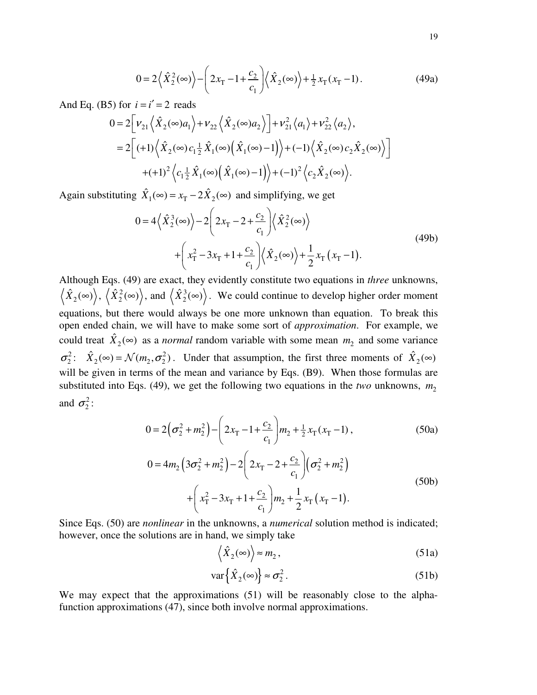$$
0 = 2\left\langle \hat{X}_2^2(\infty) \right\rangle - \left(2x_T - 1 + \frac{c_2}{c_1} \right) \left\langle \hat{X}_2(\infty) \right\rangle + \frac{1}{2}x_T(x_T - 1). \tag{49a}
$$

And Eq. (B5) for  $i = i' = 2$  reads

$$
0 = 2\left[\nu_{21}\left\langle \hat{X}_2(\infty)a_1 \right\rangle + \nu_{22}\left\langle \hat{X}_2(\infty)a_2 \right\rangle\right] + \nu_{21}^2 \left\langle a_1 \right\rangle + \nu_{22}^2 \left\langle a_2 \right\rangle,
$$
  
\n
$$
= 2\left[ (+1)\left\langle \hat{X}_2(\infty)c_1 \frac{1}{2}\hat{X}_1(\infty)\left(\hat{X}_1(\infty) - 1\right) \right\rangle + (-1)\left\langle \hat{X}_2(\infty)c_2 \hat{X}_2(\infty)\right\rangle\right]
$$
  
\n
$$
+ (+1)^2 \left\langle c_1 \frac{1}{2}\hat{X}_1(\infty)\left(\hat{X}_1(\infty) - 1\right) \right\rangle + (-1)^2 \left\langle c_2 \hat{X}_2(\infty)\right\rangle.
$$

Again substituting  $\hat{X}_1(\infty) = x_T - 2\hat{X}_2(\infty)$  and simplifying, we get

$$
0 = 4\left\langle \hat{X}_2^3(\infty) \right\rangle - 2\left(2x_T - 2 + \frac{c_2}{c_1}\right) \left\langle \hat{X}_2^2(\infty) \right\rangle
$$
  
+ 
$$
\left(x_T^2 - 3x_T + 1 + \frac{c_2}{c_1}\right) \left\langle \hat{X}_2(\infty) \right\rangle + \frac{1}{2}x_T(x_T - 1).
$$
 (49b)

Although Eqs. (49) are exact, they evidently constitute two equations in *three* unknowns,  $\hat{X}_{2}(\infty)\Big\rangle ,~\Big\langle \hat{X}_{2}^{2}\Big\rangle$  $\langle \hat{X}_2^2(\infty) \rangle$ , and  $\langle \hat{X}_2^3 \rangle$  $\langle \hat{X}_2^3(\infty) \rangle$ . We could continue to develop higher order moment equations, but there would always be one more unknown than equation. To break this open ended chain, we will have to make some sort of *approximation*. For example, we could treat  $\hat{X}_2(\infty)$  as a *normal* random variable with some mean  $m_2$  and some variance  $\sigma_2^2$ :  $\hat{X}_2(\infty) = \mathcal{N}(m_2, \sigma_2^2)$  $\hat{X}_2(\infty) = \mathcal{N}(m_2, \sigma_2^2)$ . Under that assumption, the first three moments of  $\hat{X}_2(\infty)$ will be given in terms of the mean and variance by Eqs. (B9). When those formulas are substituted into Eqs. (49), we get the following two equations in the *two* unknowns,  $m_2$ and  $\sigma_2^2$ :

$$
0 = 2(\sigma_2^2 + m_2^2) - \left(2x_T - 1 + \frac{c_2}{c_1}\right) m_2 + \frac{1}{2}x_T(x_T - 1),
$$
\n(50a)

$$
0 = 4m_2 \left(3\sigma_2^2 + m_2^2\right) - 2\left(2x_T - 2 + \frac{c_2}{c_1}\right)\left(\sigma_2^2 + m_2^2\right) + \left(x_T^2 - 3x_T + 1 + \frac{c_2}{c_1}\right)m_2 + \frac{1}{2}x_T\left(x_T - 1\right).
$$
\n(50b)

Since Eqs. (50) are *nonlinear* in the unknowns, a *numerical* solution method is indicated; however, once the solutions are in hand, we simply take

$$
\langle \hat{X}_2(\infty) \rangle \approx m_2, \tag{51a}
$$

$$
\text{var}\left\{\hat{X}_2(\infty)\right\} \approx \sigma_2^2. \tag{51b}
$$

We may expect that the approximations (51) will be reasonably close to the alphafunction approximations (47), since both involve normal approximations.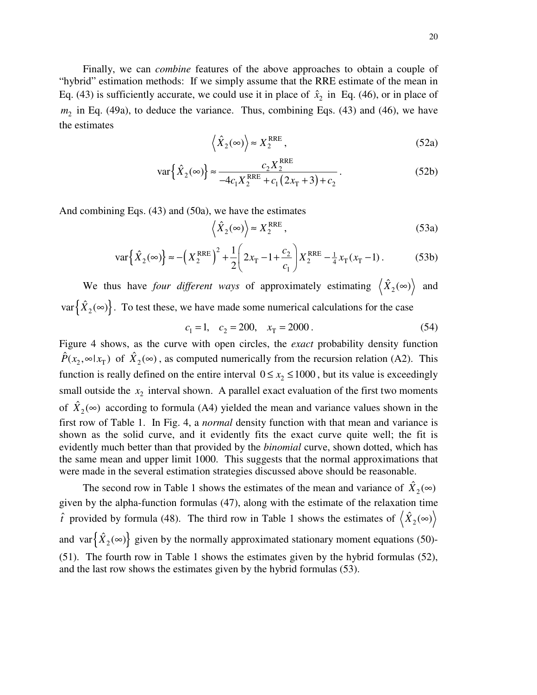Finally, we can *combine* features of the above approaches to obtain a couple of "hybrid" estimation methods: If we simply assume that the RRE estimate of the mean in Eq. (43) is sufficiently accurate, we could use it in place of  $\hat{x}_2$  in Eq. (46), or in place of  $m<sub>2</sub>$  in Eq. (49a), to deduce the variance. Thus, combining Eqs. (43) and (46), we have the estimates

$$
\left\langle \hat{X}_2(\infty) \right\rangle \approx X_2^{\text{RRE}},\tag{52a}
$$

$$
\text{var}\left\{\hat{X}_2(\infty)\right\} \approx \frac{c_2 X_2^{\text{RRE}}}{-4c_1 X_2^{\text{RRE}} + c_1 (2x_1 + 3) + c_2}.
$$
\n(52b)

And combining Eqs. (43) and (50a), we have the estimates

$$
\langle \hat{X}_2(\infty) \rangle \approx X_2^{\text{RRE}}, \tag{53a}
$$

$$
\text{var}\left\{\hat{X}_2(\infty)\right\} \approx -\left(X_2^{\text{RRE}}\right)^2 + \frac{1}{2} \left(2x_T - 1 + \frac{c_2}{c_1}\right) X_2^{\text{RRE}} - \frac{1}{4}x_T(x_T - 1). \tag{53b}
$$

We thus have *four different ways* of approximately estimating  $\langle \hat{X}_2(\infty) \rangle$  and  $var\{\hat{X}_2(\infty)\}\.$  To test these, we have made some numerical calculations for the case

$$
c_1 = 1, \quad c_2 = 200, \quad x_T = 2000 \,. \tag{54}
$$

Figure 4 shows, as the curve with open circles, the *exact* probability density function  $\hat{P}(x_2, \infty | x_T)$  of  $\hat{X}_2(\infty)$ , as computed numerically from the recursion relation (A2). This function is really defined on the entire interval  $0 \le x_2 \le 1000$ , but its value is exceedingly small outside the  $x_2$  interval shown. A parallel exact evaluation of the first two moments of  $\hat{X}_2(\infty)$  according to formula (A4) yielded the mean and variance values shown in the first row of Table 1. In Fig. 4, a *normal* density function with that mean and variance is shown as the solid curve, and it evidently fits the exact curve quite well; the fit is evidently much better than that provided by the *binomial* curve, shown dotted, which has the same mean and upper limit 1000. This suggests that the normal approximations that were made in the several estimation strategies discussed above should be reasonable.

The second row in Table 1 shows the estimates of the mean and variance of  $\hat{X}_2(\infty)$ given by the alpha-function formulas (47), along with the estimate of the relaxation time  $\hat{t}$  provided by formula (48). The third row in Table 1 shows the estimates of  $\langle \hat{X}_2(\infty) \rangle$ and var $\left\{ \hat{X}_2(\infty) \right\}$  given by the normally approximated stationary moment equations (50)-(51). The fourth row in Table 1 shows the estimates given by the hybrid formulas (52), and the last row shows the estimates given by the hybrid formulas (53).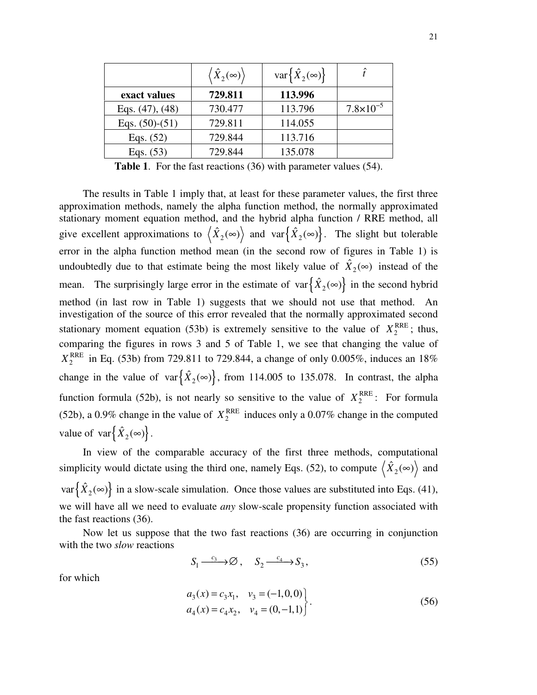|                      | $\left\langle \hat{X}_{2}(\infty)\right\rangle$ | var $\{\hat{X}_2(\infty)\}\$ | î                    |
|----------------------|-------------------------------------------------|------------------------------|----------------------|
| exact values         | 729.811                                         | 113.996                      |                      |
| Eqs. $(47)$ , $(48)$ | 730.477                                         | 113.796                      | $7.8 \times 10^{-5}$ |
| Eqs. $(50)-(51)$     | 729.811                                         | 114.055                      |                      |
| Eqs. $(52)$          | 729.844                                         | 113.716                      |                      |
| Eqs. $(53)$          | 729.844                                         | 135.078                      |                      |

**Table 1**. For the fast reactions (36) with parameter values (54).

The results in Table 1 imply that, at least for these parameter values, the first three approximation methods, namely the alpha function method, the normally approximated stationary moment equation method, and the hybrid alpha function / RRE method, all give excellent approximations to  $\langle \hat{X}_2(\infty) \rangle$  and  $var \{ \hat{X}_2(\infty) \}$ . The slight but tolerable error in the alpha function method mean (in the second row of figures in Table 1) is undoubtedly due to that estimate being the most likely value of  $\hat{X}_2(\infty)$  instead of the mean. The surprisingly large error in the estimate of  $var\{\hat{X}_2(\infty)\}\$ in the second hybrid method (in last row in Table 1) suggests that we should not use that method. An investigation of the source of this error revealed that the normally approximated second stationary moment equation (53b) is extremely sensitive to the value of  $X_2^{\text{RRE}}$ ; thus, comparing the figures in rows 3 and 5 of Table 1, we see that changing the value of  $X_2^{\text{RRE}}$  in Eq. (53b) from 729.811 to 729.844, a change of only 0.005%, induces an 18% change in the value of var $\{\hat{X}_2(\infty)\}\,$ , from 114.005 to 135.078. In contrast, the alpha function formula (52b), is not nearly so sensitive to the value of  $X_2^{\text{RRE}}$ : For formula (52b), a 0.9% change in the value of  $X_2^{\text{RRE}}$  induces only a 0.07% change in the computed value of  $var\{\hat{X}_2(\infty)\}$ .

In view of the comparable accuracy of the first three methods, computational simplicity would dictate using the third one, namely Eqs. (52), to compute  $\langle \hat{X}_2(\infty) \rangle$  and  $var\{\hat{X}_2(\infty)\}\$ in a slow-scale simulation. Once those values are substituted into Eqs. (41), we will have all we need to evaluate *any* slow-scale propensity function associated with the fast reactions (36).

Now let us suppose that the two fast reactions (36) are occurring in conjunction with the two *slow* reactions

$$
S_1 \xrightarrow{c_3} \emptyset, \quad S_2 \xrightarrow{c_4} S_3,\tag{55}
$$

for which

$$
a_3(x) = c_3 x_1, \quad v_3 = (-1, 0, 0)
$$
  
\n
$$
a_4(x) = c_4 x_2, \quad v_4 = (0, -1, 1)
$$
\n(56)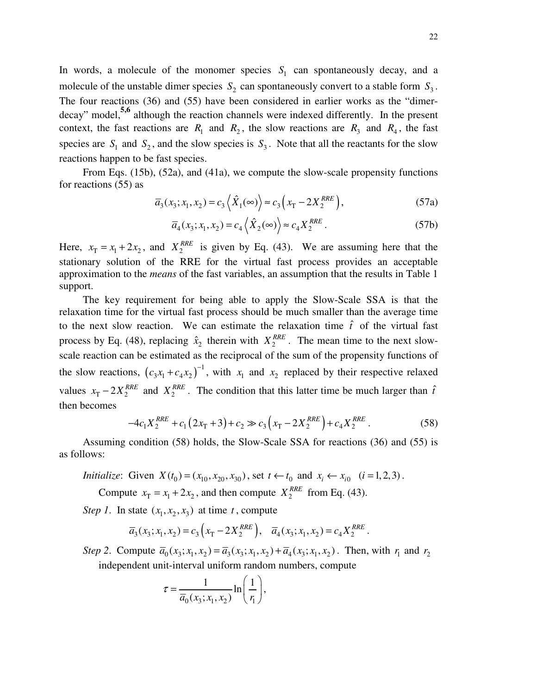In words, a molecule of the monomer species  $S_1$  can spontaneously decay, and a molecule of the unstable dimer species  $S_2$  can spontaneously convert to a stable form  $S_3$ . The four reactions (36) and (55) have been considered in earlier works as the "dimerdecay" model, **5,6** although the reaction channels were indexed differently. In the present context, the fast reactions are  $R_1$  and  $R_2$ , the slow reactions are  $R_3$  and  $R_4$ , the fast species are  $S_1$  and  $S_2$ , and the slow species is  $S_3$ . Note that all the reactants for the slow reactions happen to be fast species.

From Eqs. (15b), (52a), and (41a), we compute the slow-scale propensity functions for reactions (55) as

$$
\overline{a}_3(x_3; x_1, x_2) = c_3 \left\langle \hat{X}_1(\infty) \right\rangle \approx c_3 \left( x_1 - 2X_2^{RRE} \right),\tag{57a}
$$

$$
\overline{a}_4(x_3; x_1, x_2) = c_4 \left\langle \hat{X}_2(\infty) \right\rangle \approx c_4 X_2^{RRE} . \tag{57b}
$$

Here,  $x_T = x_1 + 2x_2$ , and  $X_2^{RRE}$  is given by Eq. (43). We are assuming here that the stationary solution of the RRE for the virtual fast process provides an acceptable approximation to the *means* of the fast variables, an assumption that the results in Table 1 support.

The key requirement for being able to apply the Slow-Scale SSA is that the relaxation time for the virtual fast process should be much smaller than the average time to the next slow reaction. We can estimate the relaxation time  $\hat{t}$  of the virtual fast process by Eq. (48), replacing  $\hat{x}_2$  therein with  $X_2^{RRE}$ . The mean time to the next slowscale reaction can be estimated as the reciprocal of the sum of the propensity functions of the slow reactions,  $(c_3x_1+c_4x_2)^{-1}$  $c_3x_1 + c_4x_2$ <sup>-1</sup>, with  $x_1$  and  $x_2$  replaced by their respective relaxed values  $x_T - 2X_2^{RRE}$  and  $X_2^{RRE}$ . The condition that this latter time be much larger than  $\hat{t}$ then becomes

$$
-4c_1X_2^{RRE} + c_1(2x_T + 3) + c_2 \gg c_3(x_T - 2X_2^{RRE}) + c_4X_2^{RRE}.
$$
 (58)

Assuming condition (58) holds, the Slow-Scale SSA for reactions (36) and (55) is as follows:

*Initialize*: Given 
$$
X(t_0) = (x_{10}, x_{20}, x_{30})
$$
, set  $t \leftarrow t_0$  and  $x_i \leftarrow x_{i0}$   $(i = 1, 2, 3)$ .

Compute  $x_T = x_1 + 2x_2$ , and then compute  $X_2^{RRE}$  from Eq. (43).

*Step 1*. In state  $(x_1, x_2, x_3)$  at time *t*, compute

$$
\overline{a}_3(x_3; x_1, x_2) = c_3\left(x_1 - 2X_2^{RRE}\right), \quad \overline{a}_4(x_3; x_1, x_2) = c_4X_2^{RRE}.
$$

Step 2. Compute  $\bar{a}_0(x_3; x_1, x_2) = \bar{a}_3(x_3; x_1, x_2) + \bar{a}_4(x_3; x_1, x_2)$ . Then, with  $r_1$  and  $r_2$ independent unit-interval uniform random numbers, compute

$$
\tau = \frac{1}{\overline{a}_0(x_3; x_1, x_2)} \ln\left(\frac{1}{r_1}\right),\,
$$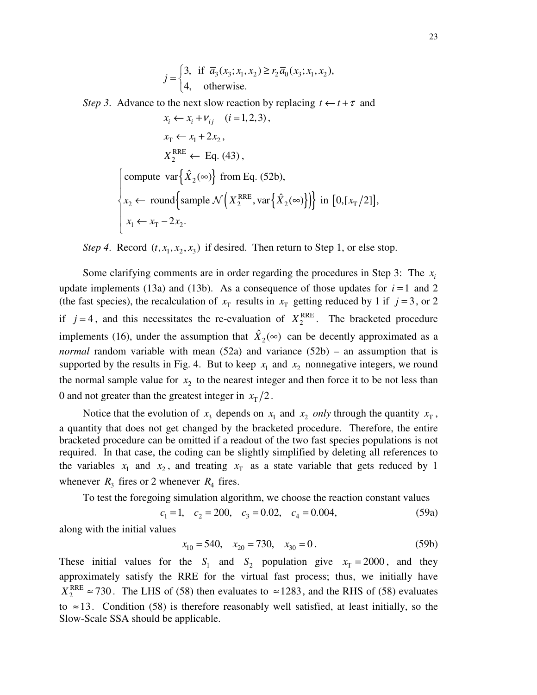$$
j = \begin{cases} 3, & \text{if } \bar{a}_3(x_3; x_1, x_2) \ge r_2 \bar{a}_0(x_3; x_1, x_2), \\ 4, & \text{otherwise.} \end{cases}
$$

*Step* 3. Advance to the next slow reaction by replacing  $t \leftarrow t + \tau$  and

$$
x_i \leftarrow x_i + v_{ij} \quad (i = 1, 2, 3),
$$
\n
$$
x_{\text{T}} \leftarrow x_1 + 2x_2,
$$
\n
$$
X_2^{\text{RRE}} \leftarrow \text{Eq. (43)},
$$
\n
$$
\left\{\text{compute var}\left\{\hat{X}_2(\infty)\right\} \text{ from Eq. (52b)},
$$
\n
$$
x_2 \leftarrow \text{round}\left\{\text{sample } \mathcal{N}\left(X_2^{\text{RRE}}, \text{var}\left\{\hat{X}_2(\infty)\right\}\right)\right\} \text{ in } [0, [x_{\text{T}}/2]],
$$
\n
$$
x_1 \leftarrow x_{\text{T}} - 2x_2.
$$

*Step* 4. Record  $(t, x_1, x_2, x_3)$  if desired. Then return to Step 1, or else stop.

Some clarifying comments are in order regarding the procedures in Step 3: The  $x_i$ update implements (13a) and (13b). As a consequence of those updates for  $i = 1$  and 2 (the fast species), the recalculation of  $x_T$  results in  $x_T$  getting reduced by 1 if  $j = 3$ , or 2 if  $j = 4$ , and this necessitates the re-evaluation of  $X_2^{\text{RRE}}$ . The bracketed procedure implements (16), under the assumption that  $\hat{X}_2(\infty)$  can be decently approximated as a *normal* random variable with mean (52a) and variance (52b) – an assumption that is supported by the results in Fig. 4. But to keep  $x_1$  and  $x_2$  nonnegative integers, we round the normal sample value for  $x<sub>2</sub>$  to the nearest integer and then force it to be not less than 0 and not greater than the greatest integer in  $x_T/2$ .

Notice that the evolution of  $x_3$  depends on  $x_1$  and  $x_2$  *only* through the quantity  $x_T$ , a quantity that does not get changed by the bracketed procedure. Therefore, the entire bracketed procedure can be omitted if a readout of the two fast species populations is not required. In that case, the coding can be slightly simplified by deleting all references to the variables  $x_1$  and  $x_2$ , and treating  $x_T$  as a state variable that gets reduced by 1 whenever  $R_3$  fires or 2 whenever  $R_4$  fires.

To test the foregoing simulation algorithm, we choose the reaction constant values

$$
c_1 = 1, \quad c_2 = 200, \quad c_3 = 0.02, \quad c_4 = 0.004,
$$
 (59a)

along with the initial values

$$
x_{10} = 540, \quad x_{20} = 730, \quad x_{30} = 0. \tag{59b}
$$

These initial values for the  $S_1$  and  $S_2$  population give  $x_T = 2000$ , and they approximately satisfy the RRE for the virtual fast process; thus, we initially have  $X_2^{\text{RRE}} \approx 730$ . The LHS of (58) then evaluates to  $\approx 1283$ , and the RHS of (58) evaluates to  $\approx$ 13. Condition (58) is therefore reasonably well satisfied, at least initially, so the Slow-Scale SSA should be applicable.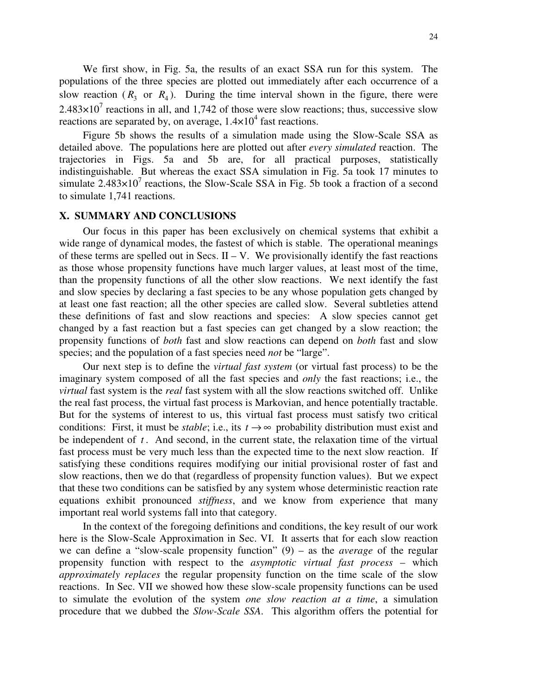We first show, in Fig. 5a, the results of an exact SSA run for this system. The populations of the three species are plotted out immediately after each occurrence of a slow reaction  $(R_3$  or  $R_4$ ). During the time interval shown in the figure, there were  $2.483 \times 10^7$  reactions in all, and 1,742 of those were slow reactions; thus, successive slow reactions are separated by, on average,  $1.4\times10^4$  fast reactions.

Figure 5b shows the results of a simulation made using the Slow-Scale SSA as detailed above. The populations here are plotted out after *every simulated* reaction. The trajectories in Figs. 5a and 5b are, for all practical purposes, statistically indistinguishable. But whereas the exact SSA simulation in Fig. 5a took 17 minutes to simulate  $2.483\times10^{7}$  reactions, the Slow-Scale SSA in Fig. 5b took a fraction of a second to simulate 1,741 reactions.

#### **X. SUMMARY AND CONCLUSIONS**

Our focus in this paper has been exclusively on chemical systems that exhibit a wide range of dynamical modes, the fastest of which is stable. The operational meanings of these terms are spelled out in Secs.  $II - V$ . We provisionally identify the fast reactions as those whose propensity functions have much larger values, at least most of the time, than the propensity functions of all the other slow reactions. We next identify the fast and slow species by declaring a fast species to be any whose population gets changed by at least one fast reaction; all the other species are called slow. Several subtleties attend these definitions of fast and slow reactions and species: A slow species cannot get changed by a fast reaction but a fast species can get changed by a slow reaction; the propensity functions of *both* fast and slow reactions can depend on *both* fast and slow species; and the population of a fast species need *not* be "large".

Our next step is to define the *virtual fast system* (or virtual fast process) to be the imaginary system composed of all the fast species and *only* the fast reactions; i.e., the *virtual* fast system is the *real* fast system with all the slow reactions switched off. Unlike the real fast process, the virtual fast process is Markovian, and hence potentially tractable. But for the systems of interest to us, this virtual fast process must satisfy two critical conditions: First, it must be *stable*; i.e., its  $t \rightarrow \infty$  probability distribution must exist and be independent of  $t$ . And second, in the current state, the relaxation time of the virtual fast process must be very much less than the expected time to the next slow reaction. If satisfying these conditions requires modifying our initial provisional roster of fast and slow reactions, then we do that (regardless of propensity function values). But we expect that these two conditions can be satisfied by any system whose deterministic reaction rate equations exhibit pronounced *stiffness*, and we know from experience that many important real world systems fall into that category.

In the context of the foregoing definitions and conditions, the key result of our work here is the Slow-Scale Approximation in Sec. VI. It asserts that for each slow reaction we can define a "slow-scale propensity function" (9) – as the *average* of the regular propensity function with respect to the *asymptotic virtual fast process* – which *approximately replaces* the regular propensity function on the time scale of the slow reactions. In Sec. VII we showed how these slow-scale propensity functions can be used to simulate the evolution of the system *one slow reaction at a time*, a simulation procedure that we dubbed the *Slow-Scale SSA*. This algorithm offers the potential for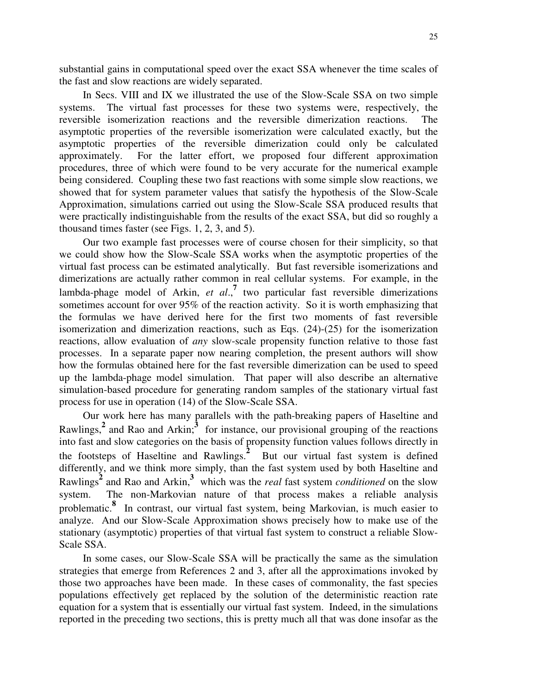substantial gains in computational speed over the exact SSA whenever the time scales of the fast and slow reactions are widely separated.

In Secs. VIII and IX we illustrated the use of the Slow-Scale SSA on two simple systems. The virtual fast processes for these two systems were, respectively, the reversible isomerization reactions and the reversible dimerization reactions. The asymptotic properties of the reversible isomerization were calculated exactly, but the asymptotic properties of the reversible dimerization could only be calculated approximately. For the latter effort, we proposed four different approximation procedures, three of which were found to be very accurate for the numerical example being considered. Coupling these two fast reactions with some simple slow reactions, we showed that for system parameter values that satisfy the hypothesis of the Slow-Scale Approximation, simulations carried out using the Slow-Scale SSA produced results that were practically indistinguishable from the results of the exact SSA, but did so roughly a thousand times faster (see Figs. 1, 2, 3, and 5).

Our two example fast processes were of course chosen for their simplicity, so that we could show how the Slow-Scale SSA works when the asymptotic properties of the virtual fast process can be estimated analytically. But fast reversible isomerizations and dimerizations are actually rather common in real cellular systems. For example, in the lambda-phage model of Arkin, *et al*., **7** two particular fast reversible dimerizations sometimes account for over 95% of the reaction activity. So it is worth emphasizing that the formulas we have derived here for the first two moments of fast reversible isomerization and dimerization reactions, such as Eqs. (24)-(25) for the isomerization reactions, allow evaluation of *any* slow-scale propensity function relative to those fast processes. In a separate paper now nearing completion, the present authors will show how the formulas obtained here for the fast reversible dimerization can be used to speed up the lambda-phage model simulation. That paper will also describe an alternative simulation-based procedure for generating random samples of the stationary virtual fast process for use in operation (14) of the Slow-Scale SSA.

Our work here has many parallels with the path-breaking papers of Haseltine and Rawlings,<sup>2</sup> and Rao and Arkin;<sup>3</sup> for instance, our provisional grouping of the reactions into fast and slow categories on the basis of propensity function values follows directly in the footsteps of Haseltine and Rawlings. **2** But our virtual fast system is defined differently, and we think more simply, than the fast system used by both Haseltine and Rawlings **2** and Rao and Arkin, **3** which was the *real* fast system *conditioned* on the slow system. The non-Markovian nature of that process makes a reliable analysis problematic. **8** In contrast, our virtual fast system, being Markovian, is much easier to analyze. And our Slow-Scale Approximation shows precisely how to make use of the stationary (asymptotic) properties of that virtual fast system to construct a reliable Slow-Scale SSA.

In some cases, our Slow-Scale SSA will be practically the same as the simulation strategies that emerge from References 2 and 3, after all the approximations invoked by those two approaches have been made. In these cases of commonality, the fast species populations effectively get replaced by the solution of the deterministic reaction rate equation for a system that is essentially our virtual fast system. Indeed, in the simulations reported in the preceding two sections, this is pretty much all that was done insofar as the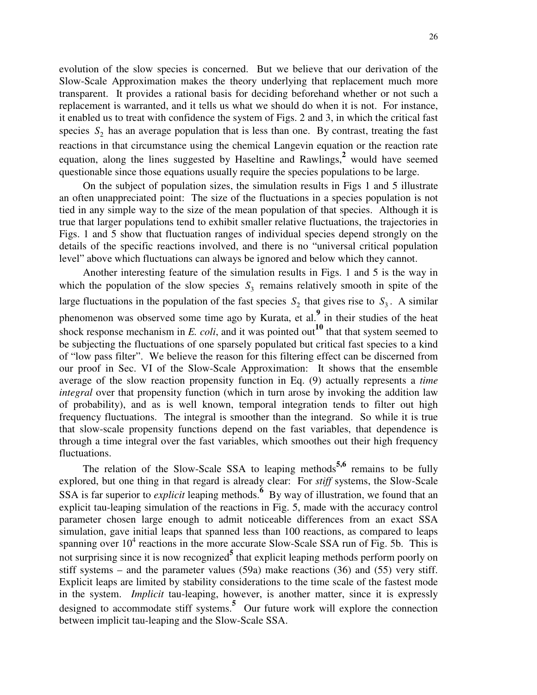evolution of the slow species is concerned. But we believe that our derivation of the Slow-Scale Approximation makes the theory underlying that replacement much more transparent. It provides a rational basis for deciding beforehand whether or not such a replacement is warranted, and it tells us what we should do when it is not. For instance, it enabled us to treat with confidence the system of Figs. 2 and 3, in which the critical fast species  $S_2$  has an average population that is less than one. By contrast, treating the fast reactions in that circumstance using the chemical Langevin equation or the reaction rate equation, along the lines suggested by Haseltine and Rawlings, **2** would have seemed questionable since those equations usually require the species populations to be large.

On the subject of population sizes, the simulation results in Figs 1 and 5 illustrate an often unappreciated point: The size of the fluctuations in a species population is not tied in any simple way to the size of the mean population of that species. Although it is true that larger populations tend to exhibit smaller relative fluctuations, the trajectories in Figs. 1 and 5 show that fluctuation ranges of individual species depend strongly on the details of the specific reactions involved, and there is no "universal critical population level" above which fluctuations can always be ignored and below which they cannot.

Another interesting feature of the simulation results in Figs. 1 and 5 is the way in which the population of the slow species  $S_3$  remains relatively smooth in spite of the large fluctuations in the population of the fast species  $S_2$  that gives rise to  $S_3$ . A similar phenomenon was observed some time ago by Kurata, et al. **9** in their studies of the heat shock response mechanism in *E. coli*, and it was pointed out<sup>10</sup> that that system seemed to be subjecting the fluctuations of one sparsely populated but critical fast species to a kind of "low pass filter". We believe the reason for this filtering effect can be discerned from our proof in Sec. VI of the Slow-Scale Approximation: It shows that the ensemble average of the slow reaction propensity function in Eq. (9) actually represents a *time integral* over that propensity function (which in turn arose by invoking the addition law of probability), and as is well known, temporal integration tends to filter out high frequency fluctuations. The integral is smoother than the integrand. So while it is true that slow-scale propensity functions depend on the fast variables, that dependence is through a time integral over the fast variables, which smoothes out their high frequency fluctuations.

The relation of the Slow-Scale SSA to leaping methods **5,6** remains to be fully explored, but one thing in that regard is already clear: For *stiff* systems, the Slow-Scale SSA is far superior to *explicit* leaping methods. <sup>6</sup> By way of illustration, we found that an explicit tau-leaping simulation of the reactions in Fig. 5, made with the accuracy control parameter chosen large enough to admit noticeable differences from an exact SSA simulation, gave initial leaps that spanned less than 100 reactions, as compared to leaps spanning over  $10^4$  reactions in the more accurate Slow-Scale SSA run of Fig. 5b. This is not surprising since it is now recognized **5** that explicit leaping methods perform poorly on stiff systems – and the parameter values (59a) make reactions (36) and (55) very stiff. Explicit leaps are limited by stability considerations to the time scale of the fastest mode in the system. *Implicit* tau-leaping, however, is another matter, since it is expressly designed to accommodate stiff systems. **<sup>5</sup>** Our future work will explore the connection between implicit tau-leaping and the Slow-Scale SSA.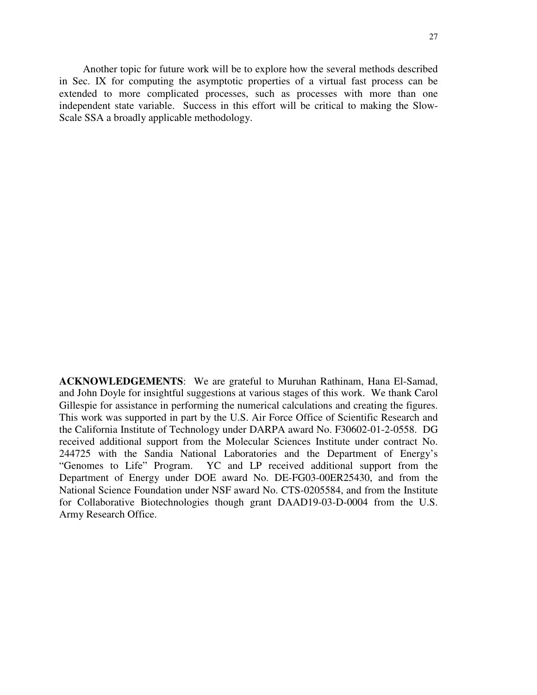Another topic for future work will be to explore how the several methods described in Sec. IX for computing the asymptotic properties of a virtual fast process can be extended to more complicated processes, such as processes with more than one independent state variable. Success in this effort will be critical to making the Slow-Scale SSA a broadly applicable methodology.

**ACKNOWLEDGEMENTS**: We are grateful to Muruhan Rathinam, Hana El-Samad, and John Doyle for insightful suggestions at various stages of this work. We thank Carol Gillespie for assistance in performing the numerical calculations and creating the figures. This work was supported in part by the U.S. Air Force Office of Scientific Research and the California Institute of Technology under DARPA award No. F30602-01-2-0558. DG received additional support from the Molecular Sciences Institute under contract No. 244725 with the Sandia National Laboratories and the Department of Energy's "Genomes to Life" Program. YC and LP received additional support from the Department of Energy under DOE award No. DE-FG03-00ER25430, and from the National Science Foundation under NSF award No. CTS-0205584, and from the Institute for Collaborative Biotechnologies though grant DAAD19-03-D-0004 from the U.S. Army Research Office.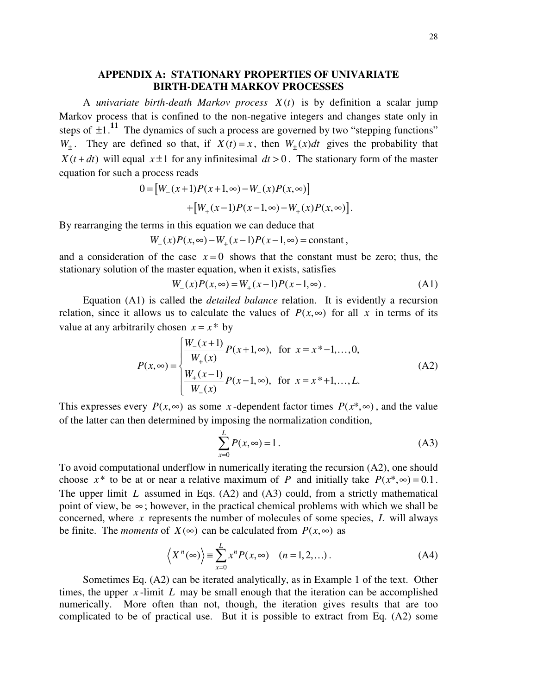## **APPENDIX A: STATIONARY PROPERTIES OF UNIVARIATE BIRTH-DEATH MARKOV PROCESSES**

A *univariate birth-death Markov process X* (*t*) is by definition a scalar jump Markov process that is confined to the non-negative integers and changes state only in steps of  $\pm 1$ .<sup>11</sup> The dynamics of such a process are governed by two "stepping functions"  $W_{\pm}$ . They are defined so that, if  $X(t) = x$ , then  $W_{\pm}(x)dt$  gives the probability that  $X(t+dt)$  will equal  $x \pm 1$  for any infinitesimal  $dt > 0$ . The stationary form of the master equation for such a process reads

$$
0 = [W_{-}(x+1)P(x+1,\infty) - W_{-}(x)P(x,\infty)] + [W_{+}(x-1)P(x-1,\infty) - W_{+}(x)P(x,\infty)].
$$

By rearranging the terms in this equation we can deduce that

$$
W_{-}(x)P(x,\infty) - W_{+}(x-1)P(x-1,\infty) = \text{constant},
$$

and a consideration of the case  $x=0$  shows that the constant must be zero; thus, the stationary solution of the master equation, when it exists, satisfies

$$
W_{-}(x)P(x,\infty) = W_{+}(x-1)P(x-1,\infty).
$$
 (A1)

Equation (A1) is called the *detailed balance* relation. It is evidently a recursion relation, since it allows us to calculate the values of  $P(x, \infty)$  for all x in terms of its value at any arbitrarily chosen  $x = x^*$  by

$$
P(x, \infty) = \begin{cases} \frac{W_{-}(x+1)}{W_{+}(x)} P(x+1, \infty), & \text{for } x = x^{*}-1, ..., 0, \\ \frac{W_{+}(x-1)}{W_{-}(x)} P(x-1, \infty), & \text{for } x = x^{*}+1, ..., L. \end{cases}
$$
(A2)

This expresses every  $P(x, \infty)$  as some *x*-dependent factor times  $P(x^*, \infty)$ , and the value of the latter can then determined by imposing the normalization condition,

$$
\sum_{x=0}^{L} P(x, \infty) = 1.
$$
 (A3)

To avoid computational underflow in numerically iterating the recursion (A2), one should choose  $x^*$  to be at or near a relative maximum of *P* and initially take  $P(x^*, \infty) = 0.1$ . The upper limit *L* assumed in Eqs. (A2) and (A3) could, from a strictly mathematical point of view, be  $\infty$ ; however, in the practical chemical problems with which we shall be concerned, where *x* represents the number of molecules of some species, *L* will always be finite. The *moments* of *X*( $\infty$ ) can be calculated from *P*(*x*, $\infty$ ) as

$$
\langle X^n(\infty) \rangle = \sum_{x=0}^{L} x^n P(x, \infty) \quad (n = 1, 2, \ldots). \tag{A4}
$$

Sometimes Eq. (A2) can be iterated analytically, as in Example 1 of the text. Other times, the upper  $x$ -limit  $L$  may be small enough that the iteration can be accomplished numerically. More often than not, though, the iteration gives results that are too complicated to be of practical use. But it is possible to extract from Eq. (A2) some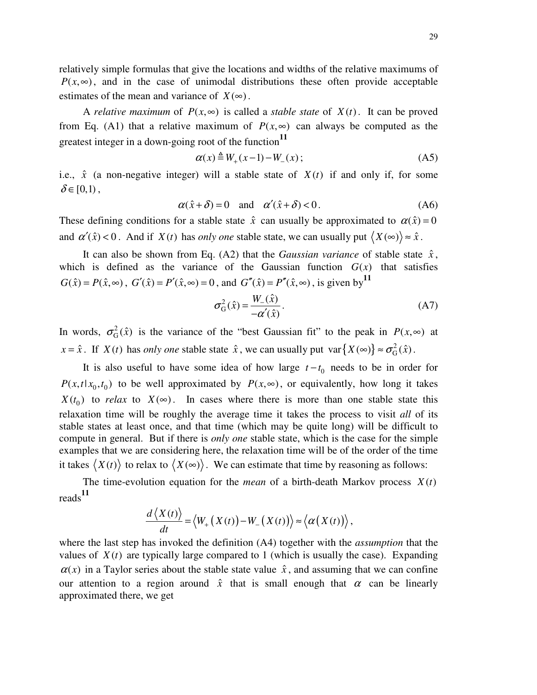relatively simple formulas that give the locations and widths of the relative maximums of  $P(x, \infty)$ , and in the case of unimodal distributions these often provide acceptable estimates of the mean and variance of  $X(\infty)$ .

A *relative maximum* of  $P(x, \infty)$  is called a *stable state* of  $X(t)$ . It can be proved from Eq. (A1) that a relative maximum of  $P(x, \infty)$  can always be computed as the greatest integer in a down-going root of the function **11**

$$
\alpha(x) \triangleq W_+(x-1) - W_-(x) \tag{A5}
$$

i.e.,  $\hat{x}$  (a non-negative integer) will a stable state of  $X(t)$  if and only if, for some  $\delta \in [0,1)$ ,

$$
\alpha(\hat{x} + \delta) = 0 \quad \text{and} \quad \alpha'(\hat{x} + \delta) < 0. \tag{A6}
$$

These defining conditions for a stable state  $\hat{x}$  can usually be approximated to  $\alpha(\hat{x}) = 0$ and  $\alpha'(\hat{x}) < 0$ . And if  $X(t)$  has *only one* stable state, we can usually put  $\langle X(\infty) \rangle \approx \hat{x}$ .

It can also be shown from Eq. (A2) that the *Gaussian variance* of stable state  $\hat{x}$ , which is defined as the variance of the Gaussian function  $G(x)$  that satisfies  $G(\hat{x}) = P(\hat{x}, \infty)$ ,  $G'(\hat{x}) = P'(\hat{x}, \infty) = 0$ , and  $G''(\hat{x}) = P''(\hat{x}, \infty)$ , is given by <sup>11</sup>

$$
\sigma_{\mathcal{G}}^2(\hat{x}) = \frac{W_{-}(\hat{x})}{-\alpha'(\hat{x})}.
$$
\n(A7)

In words,  $\sigma_G^2(\hat{x})$  is the variance of the "best Gaussian fit" to the peak in  $P(x, \infty)$  at  $x = \hat{x}$ . If *X*(*t*) has *only one* stable state  $\hat{x}$ , we can usually put  $var\{X(\infty)\} \approx \sigma_G^2$  $var\{X(\infty)\} \approx \sigma_G^2(\hat{x})$ .

It is also useful to have some idea of how large  $t - t_0$  needs to be in order for  $P(x,t|x_0,t_0)$  to be well approximated by  $P(x,\infty)$ , or equivalently, how long it takes  $X(t_0)$  to *relax* to  $X(\infty)$ . In cases where there is more than one stable state this relaxation time will be roughly the average time it takes the process to visit *all* of its stable states at least once, and that time (which may be quite long) will be difficult to compute in general. But if there is *only one* stable state, which is the case for the simple examples that we are considering here, the relaxation time will be of the order of the time it takes  $\langle X(t) \rangle$  to relax to  $\langle X(\infty) \rangle$ . We can estimate that time by reasoning as follows:

The time-evolution equation for the *mean* of a birth-death Markov process  $X(t)$ reads **11**

$$
\frac{d\left\langle X(t)\right\rangle}{dt}=\left\langle W_{+}\left(X(t)\right)-W_{-}\left(X(t)\right)\right\rangle \approx\left\langle \alpha\big(X(t)\big)\right\rangle,
$$

where the last step has invoked the definition (A4) together with the *assumption* that the values of  $X(t)$  are typically large compared to 1 (which is usually the case). Expanding  $\alpha(x)$  in a Taylor series about the stable state value  $\hat{x}$ , and assuming that we can confine our attention to a region around  $\hat{x}$  that is small enough that  $\alpha$  can be linearly approximated there, we get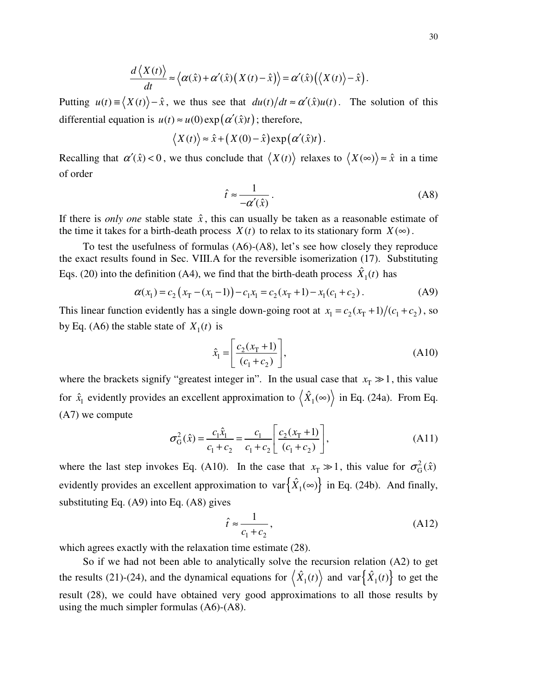$$
\frac{d\langle X(t)\rangle}{dt} \approx \langle \alpha(\hat{x}) + \alpha'(\hat{x})\big(X(t) - \hat{x}\big)\rangle = \alpha'(\hat{x})\big(\langle X(t)\rangle - \hat{x}\big).
$$

Putting  $u(t) = \langle X(t) \rangle - \hat{x}$ , we thus see that  $du(t)/dt \approx \alpha'(\hat{x})u(t)$ . The solution of this differential equation is  $u(t) \approx u(0) \exp(\alpha'(\hat{x})t)$ ; therefore,

$$
\langle X(t) \rangle \approx \hat{x} + (X(0) - \hat{x}) \exp(\alpha'(\hat{x})t).
$$

Recalling that  $\alpha'(\hat{x}) < 0$ , we thus conclude that  $\langle X(t) \rangle$  relaxes to  $\langle X(\infty) \rangle \approx \hat{x}$  in a time of order

$$
\hat{t} \approx \frac{1}{-\alpha'(\hat{x})} \,. \tag{A8}
$$

If there is *only one* stable state  $\hat{x}$ , this can usually be taken as a reasonable estimate of the time it takes for a birth-death process  $X(t)$  to relax to its stationary form  $X(\infty)$ .

To test the usefulness of formulas (A6)-(A8), let's see how closely they reproduce the exact results found in Sec. VIII.A for the reversible isomerization (17). Substituting Eqs. (20) into the definition (A4), we find that the birth-death process  $\hat{X}_1(t)$  has

$$
\alpha(x_1) = c_2 \left( x_1 - (x_1 - 1) \right) - c_1 x_1 = c_2 (x_1 + 1) - x_1 (c_1 + c_2).
$$
 (A9)

This linear function evidently has a single down-going root at  $x_1 = c_2(x_T + 1)/(c_1 + c_2)$ , so by Eq. (A6) the stable state of  $X_1(t)$  is

$$
\hat{x}_1 = \left[ \frac{c_2(x_1 + 1)}{(c_1 + c_2)} \right],
$$
\n(A10)

where the brackets signify "greatest integer in". In the usual case that  $x_T \gg 1$ , this value for  $\hat{x}_1$  evidently provides an excellent approximation to  $\langle \hat{X}_1(\infty) \rangle$  in Eq. (24a). From Eq. (A7) we compute

$$
\sigma_{\rm G}^2(\hat{x}) = \frac{c_1 \hat{x}_1}{c_1 + c_2} = \frac{c_1}{c_1 + c_2} \left[ \frac{c_2(x_{\rm T} + 1)}{(c_1 + c_2)} \right],\tag{A11}
$$

where the last step invokes Eq. (A10). In the case that  $x_T \gg 1$ , this value for  $\sigma_G^2(\hat{x})$ evidently provides an excellent approximation to  $var\{\hat{X}_1(\infty)\}\$ in Eq. (24b). And finally, substituting Eq. (A9) into Eq. (A8) gives

$$
\hat{t} \approx \frac{1}{c_1 + c_2},\tag{A12}
$$

which agrees exactly with the relaxation time estimate (28).

So if we had not been able to analytically solve the recursion relation (A2) to get the results (21)-(24), and the dynamical equations for  $\langle \hat{X}_1(t) \rangle$  and  $var \{ \hat{X}_1(t) \}$  to get the result (28), we could have obtained very good approximations to all those results by using the much simpler formulas (A6)-(A8).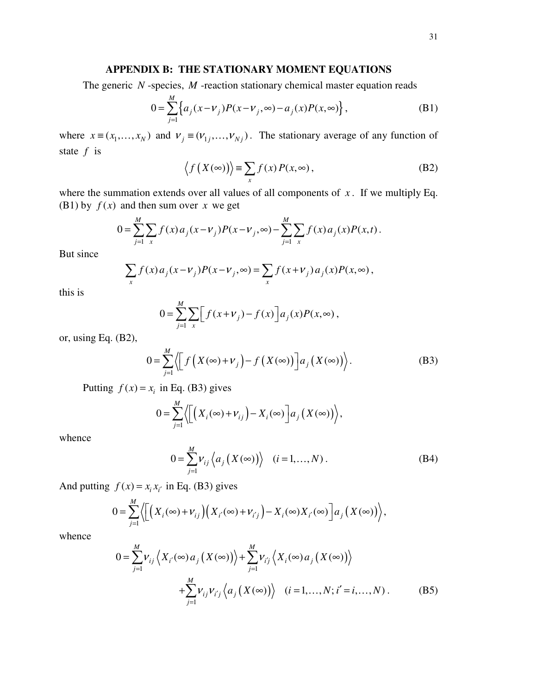### **APPENDIX B: THE STATIONARY MOMENT EQUATIONS**

The generic  $N$ -species,  $M$ -reaction stationary chemical master equation reads

$$
0 = \sum_{j=1}^{M} \left\{ a_j (x - v_j) P(x - v_j, \infty) - a_j (x) P(x, \infty) \right\},
$$
 (B1)

where  $x \equiv (x_1, ..., x_N)$  and  $v_j \equiv (v_{1j}, ..., v_{Nj})$ . The stationary average of any function of state *f* is

$$
\langle f(X(\infty)) \rangle \equiv \sum_{x} f(x) P(x, \infty), \tag{B2}
$$

where the summation extends over all values of all components of  $x$ . If we multiply Eq. (B1) by  $f(x)$  and then sum over *x* we get

$$
0 = \sum_{j=1}^{M} \sum_{x} f(x) a_j (x - v_j) P(x - v_j, \infty) - \sum_{j=1}^{M} \sum_{x} f(x) a_j (x) P(x, t).
$$

But since

$$
\sum_{x} f(x) a_j (x - v_j) P(x - v_j, \infty) = \sum_{x} f(x + v_j) a_j(x) P(x, \infty),
$$

this is

$$
0 = \sum_{j=1}^{M} \sum_{x} \Big[ f(x + v_j) - f(x) \Big] a_j(x) P(x, \infty),
$$

or, using Eq. (B2),

$$
0 = \sum_{j=1}^{M} \left\langle \left[ f\left(X(\infty) + \nu_j\right) - f\left(X(\infty)\right) \right] a_j \left(X(\infty)\right) \right\rangle. \tag{B3}
$$

Putting  $f(x) = x_i$  in Eq. (B3) gives

$$
0 = \sum_{j=1}^{M} \left\langle \left[ \left( X_i(\infty) + V_{ij} \right) - X_i(\infty) \right] a_j \left( X(\infty) \right) \right\rangle,
$$

whence

$$
0 = \sum_{j=1}^{M} \nu_{ij} \langle a_j (X(\infty)) \rangle \quad (i = 1, ..., N).
$$
 (B4)

And putting  $f(x) = x_i x_i'$  in Eq. (B3) gives

$$
0 = \sum_{j=1}^{M} \left\langle \left[ \left( X_i(\infty) + \nu_{ij} \right) \left( X_{i'}(\infty) + \nu_{i'j} \right) - X_i(\infty) X_{i'}(\infty) \right] a_j \left( X(\infty) \right) \right\rangle,
$$

whence

$$
0 = \sum_{j=1}^{M} \nu_{ij} \left\langle X_{i'}(\infty) a_j \left( X(\infty) \right) \right\rangle + \sum_{j=1}^{M} \nu_{ij} \left\langle X_i(\infty) a_j \left( X(\infty) \right) \right\rangle
$$
  
+ 
$$
\sum_{j=1}^{M} \nu_{ij} \nu_{i'j} \left\langle a_j \left( X(\infty) \right) \right\rangle \quad (i = 1, ..., N; i' = i, ..., N) . \tag{B5}
$$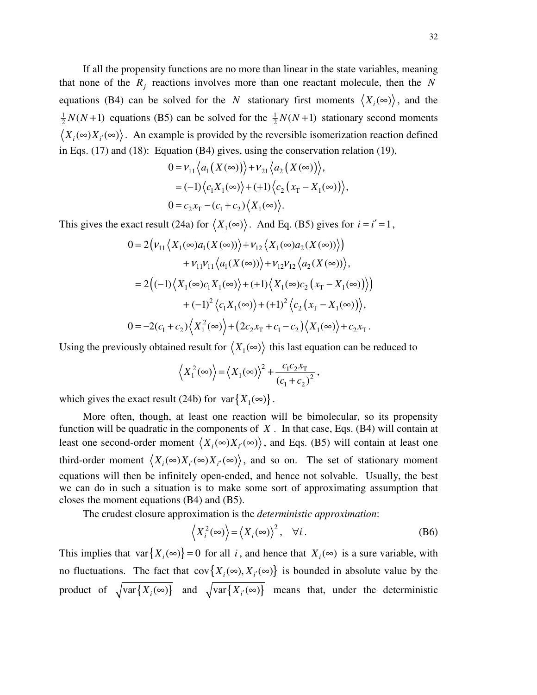If all the propensity functions are no more than linear in the state variables, meaning that none of the  $R_j$  reactions involves more than one reactant molecule, then the N equations (B4) can be solved for the *N* stationary first moments  $\langle X_i(\infty) \rangle$ , and the 1  $\frac{1}{2}N(N+1)$  equations (B5) can be solved for the  $\frac{1}{2}$  $\frac{1}{2}N(N+1)$  stationary second moments  $\langle X_i(\infty)X_i(\infty)\rangle$ . An example is provided by the reversible isomerization reaction defined in Eqs. (17) and (18): Equation (B4) gives, using the conservation relation (19),

$$
0 = \nu_{11} \langle a_1 (X(\infty)) \rangle + \nu_{21} \langle a_2 (X(\infty)) \rangle,
$$
  
=  $(-1) \langle c_1 X_1(\infty) \rangle + (+1) \langle c_2 (x_T - X_1(\infty)) \rangle,$   

$$
0 = c_2 x_T - (c_1 + c_2) \langle X_1(\infty) \rangle.
$$

This gives the exact result (24a) for  $\langle X_1(\infty) \rangle$ . And Eq. (B5) gives for  $i = i' = 1$ ,

$$
0 = 2\Big(\nu_{11}\Big\langle X_1(\infty)a_1(X(\infty))\Big\rangle + \nu_{12}\Big\langle X_1(\infty)a_2(X(\infty))\Big\rangle\Big) + \nu_{11}\nu_{11}\Big\langle a_1(X(\infty))\Big\rangle + \nu_{12}\nu_{12}\Big\langle a_2(X(\infty))\Big\rangle,
$$
  
= 2\Big((-1)\Big\langle X\_1(\infty)c\_1X\_1(\infty)\Big\rangle + (+1)\Big\langle X\_1(\infty)c\_2\Big(x\_T - X\_1(\infty)\Big)\Big\rangle\Big)   
+ (-1)^2\Big\langle c\_1X\_1(\infty)\Big\rangle + (+1)^2\Big\langle c\_2\Big(x\_T - X\_1(\infty)\Big)\Big\rangle,  
0 = -2(c\_1 + c\_2)\Big\langle X\_1^2(\infty)\Big\rangle + (2c\_2x\_T + c\_1 - c\_2)\Big\langle X\_1(\infty)\Big\rangle + c\_2x\_T.

Using the previously obtained result for  $\langle X_1(\infty) \rangle$  this last equation can be reduced to

$$
\left\langle X_1^2(\infty)\right\rangle = \left\langle X_1(\infty)\right\rangle^2 + \frac{c_1c_2x_T}{\left(c_1+c_2\right)^2},
$$

which gives the exact result (24b) for  $var{X_1(\infty)}$ .

More often, though, at least one reaction will be bimolecular, so its propensity function will be quadratic in the components of *X* . In that case, Eqs. (B4) will contain at least one second-order moment  $\langle X_i(\infty)X_i(\infty)\rangle$ , and Eqs. (B5) will contain at least one third-order moment  $\langle X_i(\infty)X_{i'}(\infty)X_{i'}(\infty)\rangle$ , and so on. The set of stationary moment equations will then be infinitely open-ended, and hence not solvable. Usually, the best we can do in such a situation is to make some sort of approximating assumption that closes the moment equations (B4) and (B5).

The crudest closure approximation is the *deterministic approximation*:

$$
\langle X_i^2(\infty)\rangle = \langle X_i(\infty)\rangle^2, \quad \forall i.
$$
 (B6)

This implies that var ${X_i(\infty)} = 0$  for all *i*, and hence that  $X_i(\infty)$  is a sure variable, with no fluctuations. The fact that  $cov\{X_i(\infty), X_{i'}(\infty)\}\)$  is bounded in absolute value by the product of  $\sqrt{\text{var}\{X_i(\infty)\}}$  and  $\sqrt{\text{var}\{X_{i'}(\infty)\}}$  means that, under the deterministic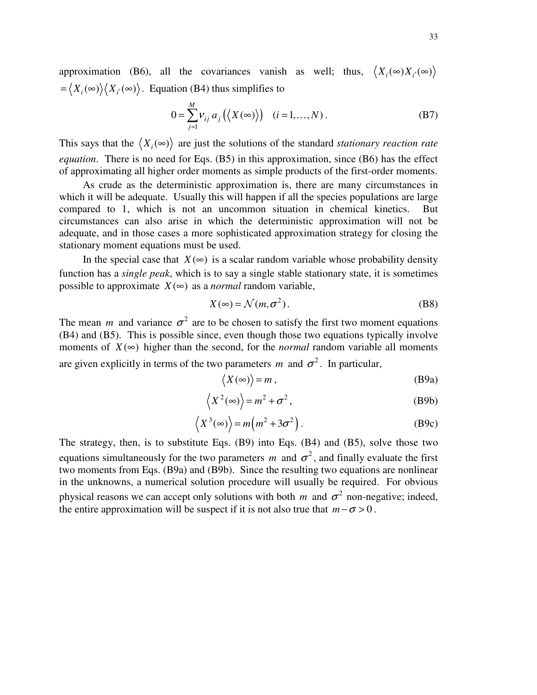approximation (B6), all the covariances vanish as well; thus,  $\langle X_i(\infty)X_i(\infty)\rangle$  $= \langle X_i(\infty) \rangle \langle X_i(\infty) \rangle$ . Equation (B4) thus simplifies to

$$
0 = \sum_{j=1}^{M} V_{ij} a_j (\langle X(\infty) \rangle) \quad (i = 1, ..., N).
$$
 (B7)

This says that the  $\langle X_i(\infty) \rangle$  are just the solutions of the standard *stationary reaction rate equation*. There is no need for Eqs. (B5) in this approximation, since (B6) has the effect of approximating all higher order moments as simple products of the first-order moments.

As crude as the deterministic approximation is, there are many circumstances in which it will be adequate. Usually this will happen if all the species populations are large compared to 1, which is not an uncommon situation in chemical kinetics. But circumstances can also arise in which the deterministic approximation will not be adequate, and in those cases a more sophisticated approximation strategy for closing the stationary moment equations must be used.

In the special case that  $X(\infty)$  is a scalar random variable whose probability density function has a *single peak*, which is to say a single stable stationary state, it is sometimes possible to approximate  $X(\infty)$  as a *normal* random variable,

$$
X(\infty) = \mathcal{N}(m, \sigma^2). \tag{B8}
$$

The mean *m* and variance  $\sigma^2$  are to be chosen to satisfy the first two moment equations (B4) and (B5). This is possible since, even though those two equations typically involve moments of  $X(\infty)$  higher than the second, for the *normal* random variable all moments are given explicitly in terms of the two parameters  $m$  and  $\sigma^2$ . In particular,

$$
\langle X(\infty) \rangle = m \,, \tag{B9a}
$$

$$
\langle X^2(\infty) \rangle = m^2 + \sigma^2, \tag{B9b}
$$

$$
\langle X^3(\infty) \rangle = m(m^2 + 3\sigma^2).
$$
 (B9c)

The strategy, then, is to substitute Eqs. (B9) into Eqs. (B4) and (B5), solve those two equations simultaneously for the two parameters  $m$  and  $\sigma^2$ , and finally evaluate the first two moments from Eqs. (B9a) and (B9b). Since the resulting two equations are nonlinear in the unknowns, a numerical solution procedure will usually be required. For obvious physical reasons we can accept only solutions with both *m* and  $\sigma^2$  non-negative; indeed, the entire approximation will be suspect if it is not also true that  $m - \sigma > 0$ .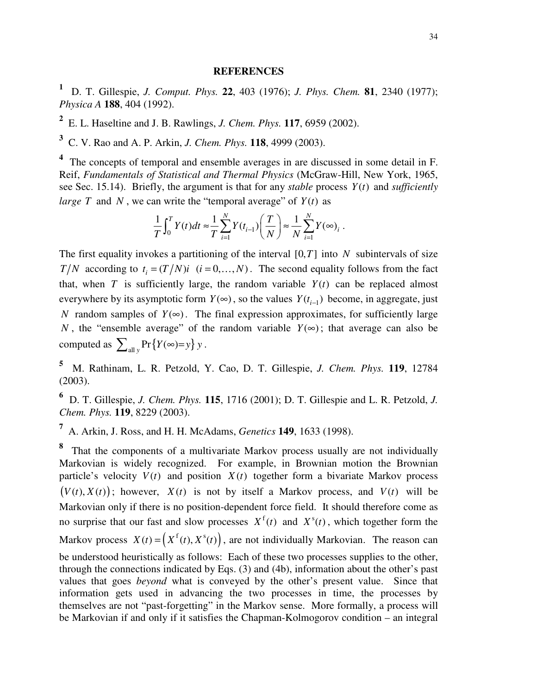#### **REFERENCES**

**<sup>1</sup>** D. T. Gillespie, *J. Comput. Phys.* **22**, 403 (1976); *J. Phys. Chem.* **81**, 2340 (1977); *Physica A* **188**, 404 (1992).

**2** E. L. Haseltine and J. B. Rawlings, *J. Chem. Phys.* **117**, 6959 (2002).

**3** C. V. Rao and A. P. Arkin, *J. Chem. Phys.* **118**, 4999 (2003).

**4** The concepts of temporal and ensemble averages in are discussed in some detail in F. Reif, *Fundamentals of Statistical and Thermal Physics* (McGraw-Hill, New York, 1965, see Sec. 15.14). Briefly, the argument is that for any *stable* process *Y*(*t*) and *sufficiently large T* and *N*, we can write the "temporal average" of  $Y(t)$  as

$$
\frac{1}{T}\int_0^T Y(t)dt \approx \frac{1}{T}\sum_{i=1}^N Y(t_{i-1})\left(\frac{T}{N}\right) \approx \frac{1}{N}\sum_{i=1}^N Y(\infty)_i.
$$

The first equality invokes a partitioning of the interval  $[0, T]$  into *N* subintervals of size *T*/*N* according to  $t_i = (T/N)i$  ( $i = 0,..., N$ ). The second equality follows from the fact that, when *T* is sufficiently large, the random variable  $Y(t)$  can be replaced almost everywhere by its asymptotic form  $Y(\infty)$ , so the values  $Y(t_{i-1})$  become, in aggregate, just *N* random samples of  $Y(\infty)$ . The final expression approximates, for sufficiently large *N*, the "ensemble average" of the random variable  $Y(\infty)$ ; that average can also be computed as  $\sum_{\text{all } y} \Pr \{ Y(\infty) = y \} y$ .

**<sup>5</sup>** M. Rathinam, L. R. Petzold, Y. Cao, D. T. Gillespie, *J. Chem. Phys.* **119**, 12784 (2003).

**<sup>6</sup>** D. T. Gillespie, *J. Chem. Phys.* **115**, 1716 (2001); D. T. Gillespie and L. R. Petzold, *J. Chem. Phys.* **119**, 8229 (2003).

**<sup>7</sup>** A. Arkin, J. Ross, and H. H. McAdams, *Genetics* **149**, 1633 (1998).

**8** That the components of a multivariate Markov process usually are not individually Markovian is widely recognized. For example, in Brownian motion the Brownian particle's velocity  $V(t)$  and position  $X(t)$  together form a bivariate Markov process  $(V(t), X(t))$ ; however,  $X(t)$  is not by itself a Markov process, and  $V(t)$  will be Markovian only if there is no position-dependent force field. It should therefore come as no surprise that our fast and slow processes  $X^f(t)$  and  $X^s(t)$ , which together form the Markov process  $X(t) = \left( X^f(t), X^s(t) \right)$ , are not individually Markovian. The reason can be understood heuristically as follows: Each of these two processes supplies to the other, through the connections indicated by Eqs. (3) and (4b), information about the other's past values that goes *beyond* what is conveyed by the other's present value. Since that information gets used in advancing the two processes in time, the processes by themselves are not "past-forgetting" in the Markov sense. More formally, a process will be Markovian if and only if it satisfies the Chapman-Kolmogorov condition – an integral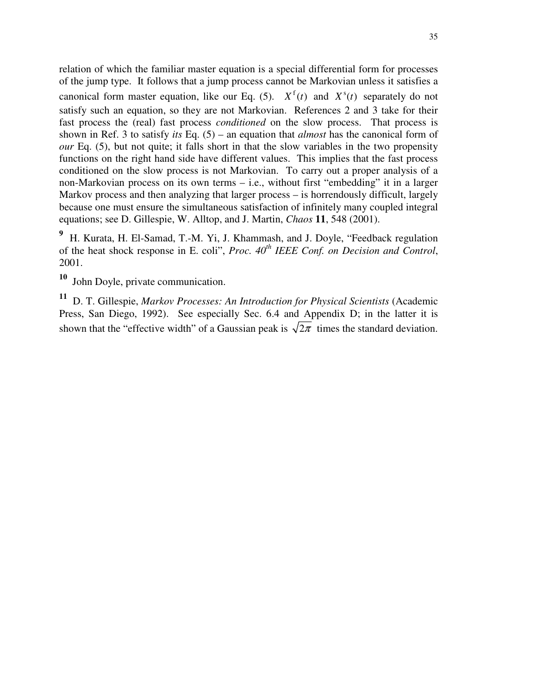relation of which the familiar master equation is a special differential form for processes of the jump type. It follows that a jump process cannot be Markovian unless it satisfies a canonical form master equation, like our Eq. (5).  $X^f(t)$  and  $X^s(t)$  separately do not satisfy such an equation, so they are not Markovian. References 2 and 3 take for their fast process the (real) fast process *conditioned* on the slow process. That process is shown in Ref. 3 to satisfy *its* Eq. (5) – an equation that *almost* has the canonical form of *our* Eq. (5), but not quite; it falls short in that the slow variables in the two propensity functions on the right hand side have different values. This implies that the fast process conditioned on the slow process is not Markovian. To carry out a proper analysis of a non-Markovian process on its own terms – i.e., without first "embedding" it in a larger Markov process and then analyzing that larger process – is horrendously difficult, largely because one must ensure the simultaneous satisfaction of infinitely many coupled integral equations; see D. Gillespie, W. Alltop, and J. Martin, *Chaos* **11**, 548 (2001).

**<sup>9</sup>** H. Kurata, H. El-Samad, T.-M. Yi, J. Khammash, and J. Doyle, "Feedback regulation of the heat shock response in E. coli", *Proc. 40 th IEEE Conf. on Decision and Control*, 2001.

**10** John Doyle, private communication.

**<sup>11</sup>** D. T. Gillespie, *Markov Processes: An Introduction for Physical Scientists* (Academic Press, San Diego, 1992). See especially Sec. 6.4 and Appendix D; in the latter it is shown that the "effective width" of a Gaussian peak is  $\sqrt{2\pi}$  times the standard deviation.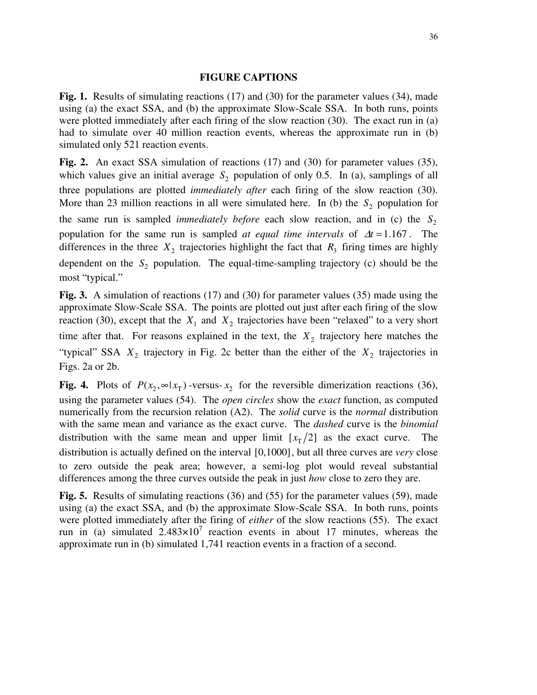### **FIGURE CAPTIONS**

**Fig. 1.** Results of simulating reactions (17) and (30) for the parameter values (34), made using (a) the exact SSA, and (b) the approximate Slow-Scale SSA. In both runs, points were plotted immediately after each firing of the slow reaction (30). The exact run in (a) had to simulate over 40 million reaction events, whereas the approximate run in (b) simulated only 521 reaction events.

**Fig. 2.** An exact SSA simulation of reactions (17) and (30) for parameter values (35), which values give an initial average  $S_2$  population of only 0.5. In (a), samplings of all three populations are plotted *immediately after* each firing of the slow reaction (30). More than 23 million reactions in all were simulated here. In (b) the  $S_2$  population for the same run is sampled *immediately before* each slow reaction, and in (c) the  $S_2$ population for the same run is sampled *at equal time intervals* of <sup>∆</sup>*t* =1.167 . The differences in the three  $X_2$  trajectories highlight the fact that  $R_3$  firing times are highly dependent on the  $S_2$  population. The equal-time-sampling trajectory (c) should be the most "typical."

**Fig. 3.** A simulation of reactions (17) and (30) for parameter values (35) made using the approximate Slow-Scale SSA. The points are plotted out just after each firing of the slow reaction (30), except that the  $X_1$  and  $X_2$  trajectories have been "relaxed" to a very short time after that. For reasons explained in the text, the  $X_2$  trajectory here matches the "typical" SSA  $X_2$  trajectory in Fig. 2c better than the either of the  $X_2$  trajectories in Figs. 2a or 2b.

**Fig. 4.** Plots of  $P(x_2, \infty | x_T)$ -versus- $x_2$  for the reversible dimerization reactions (36), using the parameter values (54). The *open circles* show the *exact* function, as computed numerically from the recursion relation (A2). The *solid* curve is the *normal* distribution with the same mean and variance as the exact curve. The *dashed* curve is the *binomial* distribution with the same mean and upper limit  $[x_T/2]$  as the exact curve. The distribution is actually defined on the interval [0,1000], but all three curves are *very* close to zero outside the peak area; however, a semi-log plot would reveal substantial differences among the three curves outside the peak in just *how* close to zero they are.

**Fig. 5.** Results of simulating reactions (36) and (55) for the parameter values (59), made using (a) the exact SSA, and (b) the approximate Slow-Scale SSA. In both runs, points were plotted immediately after the firing of *either* of the slow reactions (55). The exact run in (a) simulated  $2.483 \times 10^7$  reaction events in about 17 minutes, whereas the approximate run in (b) simulated 1,741 reaction events in a fraction of a second.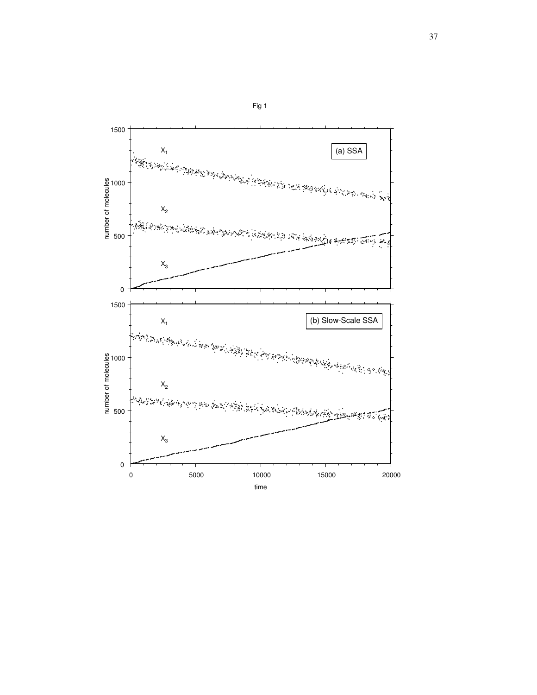

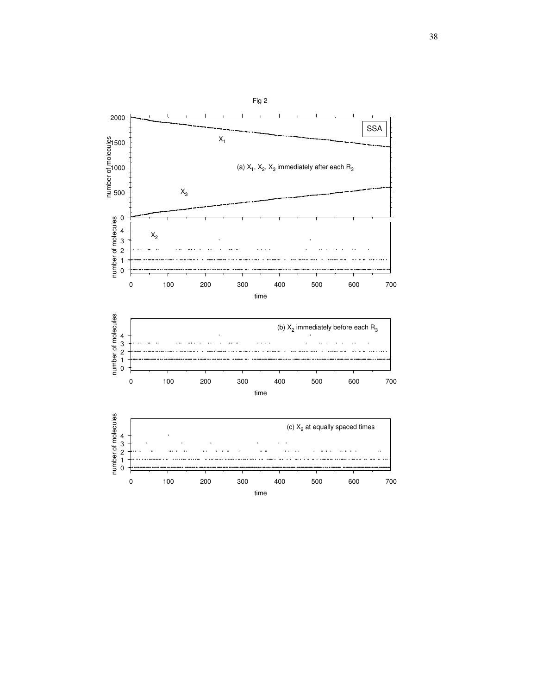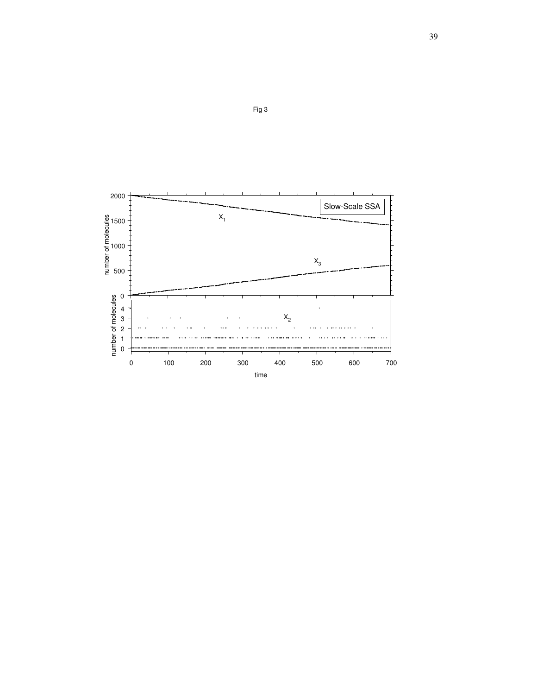

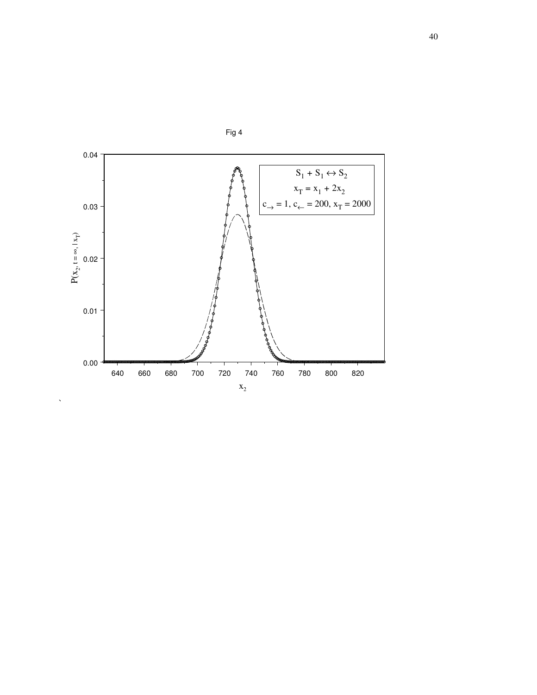

 $\hat{\mathcal{S}}$ 

Fig 4